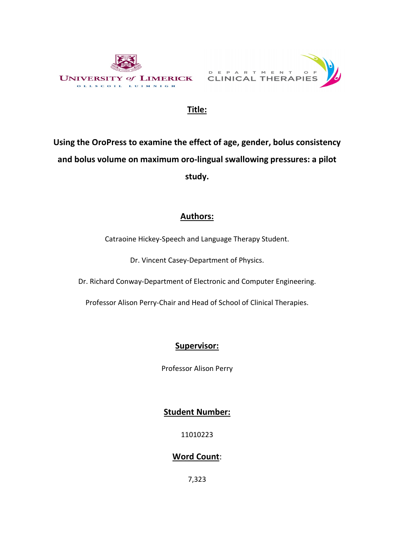



# Title:

Using the OroPress to examine the effect of age, gender, bolus consistency and bolus volume on maximum oro-lingual swallowing pressures: a pilot study.

# Authors:

Catraoine Hickey-Speech and Language Therapy Student.

Dr. Vincent Casey-Department of Physics.

Dr. Richard Conway-Department of Electronic and Computer Engineering.

Professor Alison Perry-Chair and Head of School of Clinical Therapies.

# Supervisor:

Professor Alison Perry

# Student Number:

11010223

# Word Count:

7,323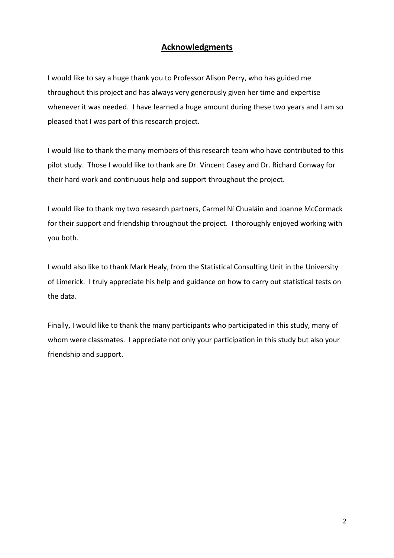### Acknowledgments

I would like to say a huge thank you to Professor Alison Perry, who has guided me throughout this project and has always very generously given her time and expertise whenever it was needed. I have learned a huge amount during these two years and I am so pleased that I was part of this research project.

I would like to thank the many members of this research team who have contributed to this pilot study. Those I would like to thank are Dr. Vincent Casey and Dr. Richard Conway for their hard work and continuous help and support throughout the project.

I would like to thank my two research partners, Carmel Ní Chualáin and Joanne McCormack for their support and friendship throughout the project. I thoroughly enjoyed working with you both.

I would also like to thank Mark Healy, from the Statistical Consulting Unit in the University of Limerick. I truly appreciate his help and guidance on how to carry out statistical tests on the data.

Finally, I would like to thank the many participants who participated in this study, many of whom were classmates. I appreciate not only your participation in this study but also your friendship and support.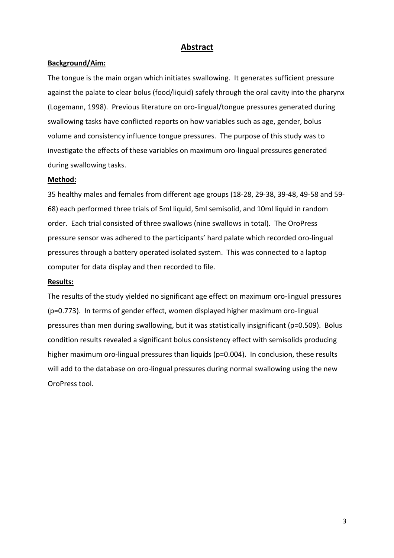### Abstract

### Background/Aim:

The tongue is the main organ which initiates swallowing. It generates sufficient pressure against the palate to clear bolus (food/liquid) safely through the oral cavity into the pharynx (Logemann, 1998). Previous literature on oro-lingual/tongue pressures generated during swallowing tasks have conflicted reports on how variables such as age, gender, bolus volume and consistency influence tongue pressures. The purpose of this study was to investigate the effects of these variables on maximum oro-lingual pressures generated during swallowing tasks.

### Method:

35 healthy males and females from different age groups (18-28, 29-38, 39-48, 49-58 and 59- 68) each performed three trials of 5ml liquid, 5ml semisolid, and 10ml liquid in random order. Each trial consisted of three swallows (nine swallows in total). The OroPress pressure sensor was adhered to the participants' hard palate which recorded oro-lingual pressures through a battery operated isolated system. This was connected to a laptop computer for data display and then recorded to file.

### Results:

The results of the study yielded no significant age effect on maximum oro-lingual pressures (p=0.773). In terms of gender effect, women displayed higher maximum oro-lingual pressures than men during swallowing, but it was statistically insignificant (p=0.509). Bolus condition results revealed a significant bolus consistency effect with semisolids producing higher maximum oro-lingual pressures than liquids (p=0.004). In conclusion, these results will add to the database on oro-lingual pressures during normal swallowing using the new OroPress tool.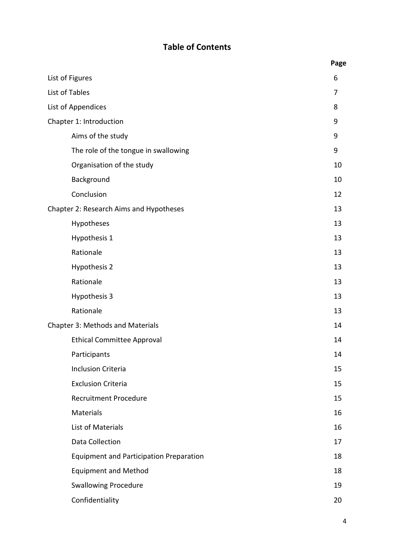# Table of Contents

|                                                | Page |
|------------------------------------------------|------|
| List of Figures                                | 6    |
| List of Tables                                 | 7    |
| List of Appendices                             | 8    |
| Chapter 1: Introduction                        | 9    |
| Aims of the study                              | 9    |
| The role of the tongue in swallowing           | 9    |
| Organisation of the study                      | 10   |
| Background                                     | 10   |
| Conclusion                                     | 12   |
| Chapter 2: Research Aims and Hypotheses        | 13   |
| Hypotheses                                     | 13   |
| Hypothesis 1                                   | 13   |
| Rationale                                      | 13   |
| Hypothesis 2                                   | 13   |
| Rationale                                      | 13   |
| Hypothesis 3                                   | 13   |
| Rationale                                      | 13   |
| Chapter 3: Methods and Materials               | 14   |
| <b>Ethical Committee Approval</b>              | 14   |
| Participants                                   | 14   |
| <b>Inclusion Criteria</b>                      | 15   |
| <b>Exclusion Criteria</b>                      | 15   |
| <b>Recruitment Procedure</b>                   | 15   |
| Materials                                      | 16   |
| List of Materials                              | 16   |
| Data Collection                                | 17   |
| <b>Equipment and Participation Preparation</b> | 18   |
| <b>Equipment and Method</b>                    | 18   |
| <b>Swallowing Procedure</b>                    | 19   |
| Confidentiality                                | 20   |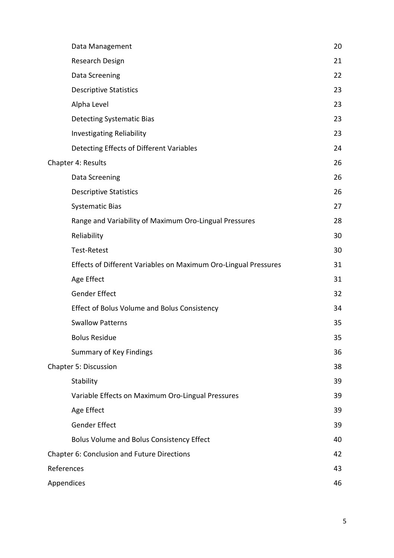| Data Management                                                 | 20 |
|-----------------------------------------------------------------|----|
| Research Design                                                 | 21 |
| Data Screening                                                  | 22 |
| <b>Descriptive Statistics</b>                                   | 23 |
| Alpha Level                                                     | 23 |
| <b>Detecting Systematic Bias</b>                                | 23 |
| <b>Investigating Reliability</b>                                | 23 |
| Detecting Effects of Different Variables                        | 24 |
| Chapter 4: Results                                              | 26 |
| Data Screening                                                  | 26 |
| <b>Descriptive Statistics</b>                                   | 26 |
| <b>Systematic Bias</b>                                          | 27 |
| Range and Variability of Maximum Oro-Lingual Pressures          | 28 |
| Reliability                                                     | 30 |
| <b>Test-Retest</b>                                              | 30 |
| Effects of Different Variables on Maximum Oro-Lingual Pressures | 31 |
| Age Effect                                                      | 31 |
| <b>Gender Effect</b>                                            | 32 |
| <b>Effect of Bolus Volume and Bolus Consistency</b>             | 34 |
| <b>Swallow Patterns</b>                                         | 35 |
| <b>Bolus Residue</b>                                            | 35 |
| <b>Summary of Key Findings</b>                                  | 36 |
| <b>Chapter 5: Discussion</b>                                    | 38 |
| Stability                                                       | 39 |
| Variable Effects on Maximum Oro-Lingual Pressures               | 39 |
| Age Effect                                                      | 39 |
| <b>Gender Effect</b>                                            | 39 |
| <b>Bolus Volume and Bolus Consistency Effect</b>                | 40 |
| Chapter 6: Conclusion and Future Directions                     | 42 |
| References                                                      | 43 |
| Appendices                                                      | 46 |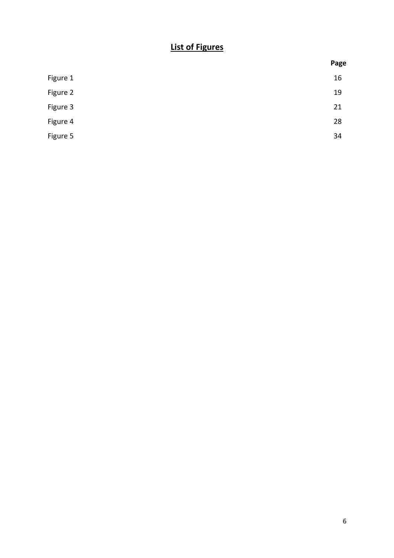# List of Figures

|          | Page |
|----------|------|
| Figure 1 | 16   |
| Figure 2 | 19   |
| Figure 3 | 21   |
| Figure 4 | 28   |
| Figure 5 | 34   |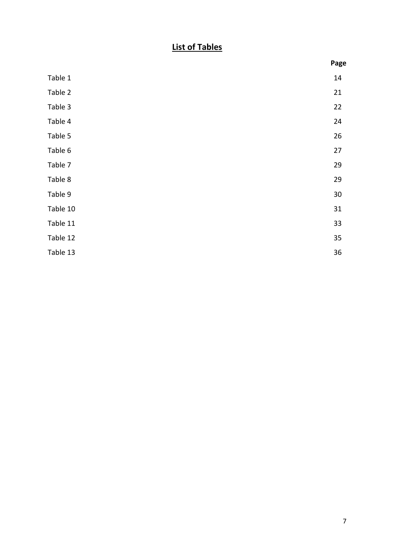# List of Tables

|          | Page |
|----------|------|
| Table 1  | 14   |
| Table 2  | 21   |
| Table 3  | 22   |
| Table 4  | 24   |
| Table 5  | 26   |
| Table 6  | 27   |
| Table 7  | 29   |
| Table 8  | 29   |
| Table 9  | 30   |
| Table 10 | 31   |
| Table 11 | 33   |
| Table 12 | 35   |
| Table 13 | 36   |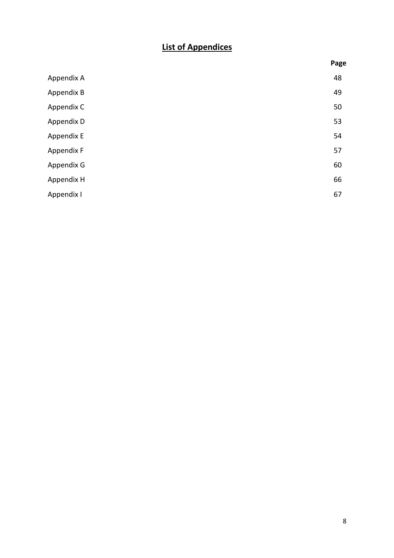# List of Appendices

|            | Page |
|------------|------|
| Appendix A | 48   |
| Appendix B | 49   |
| Appendix C | 50   |
| Appendix D | 53   |
| Appendix E | 54   |
| Appendix F | 57   |
| Appendix G | 60   |
| Appendix H | 66   |
| Appendix I | 67   |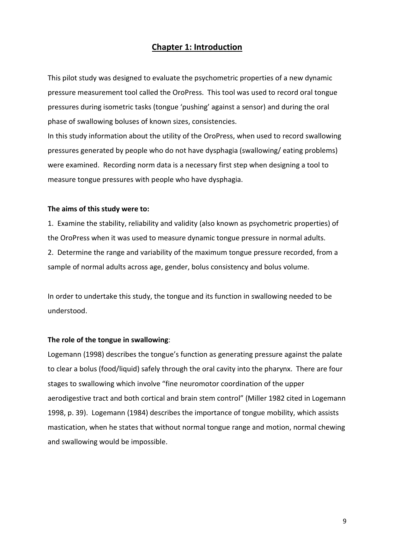### Chapter 1: Introduction

This pilot study was designed to evaluate the psychometric properties of a new dynamic pressure measurement tool called the OroPress. This tool was used to record oral tongue pressures during isometric tasks (tongue 'pushing' against a sensor) and during the oral phase of swallowing boluses of known sizes, consistencies.

In this study information about the utility of the OroPress, when used to record swallowing pressures generated by people who do not have dysphagia (swallowing/ eating problems) were examined. Recording norm data is a necessary first step when designing a tool to measure tongue pressures with people who have dysphagia.

#### The aims of this study were to:

1. Examine the stability, reliability and validity (also known as psychometric properties) of the OroPress when it was used to measure dynamic tongue pressure in normal adults.

2. Determine the range and variability of the maximum tongue pressure recorded, from a sample of normal adults across age, gender, bolus consistency and bolus volume.

In order to undertake this study, the tongue and its function in swallowing needed to be understood.

#### The role of the tongue in swallowing:

Logemann (1998) describes the tongue's function as generating pressure against the palate to clear a bolus (food/liquid) safely through the oral cavity into the pharynx. There are four stages to swallowing which involve "fine neuromotor coordination of the upper aerodigestive tract and both cortical and brain stem control" (Miller 1982 cited in Logemann 1998, p. 39). Logemann (1984) describes the importance of tongue mobility, which assists mastication, when he states that without normal tongue range and motion, normal chewing and swallowing would be impossible.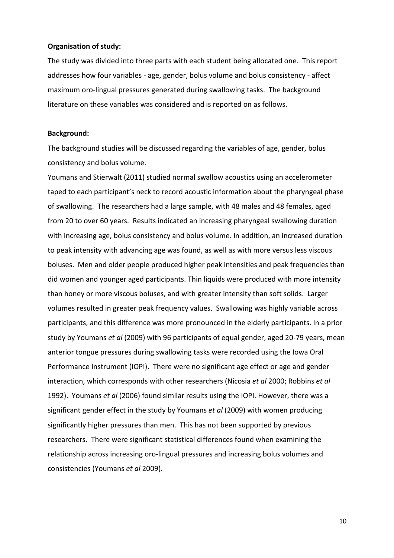#### Organisation of study:

The study was divided into three parts with each student being allocated one. This report addresses how four variables - age, gender, bolus volume and bolus consistency - affect maximum oro-lingual pressures generated during swallowing tasks. The background literature on these variables was considered and is reported on as follows.

#### Background:

The background studies will be discussed regarding the variables of age, gender, bolus consistency and bolus volume.

Youmans and Stierwalt (2011) studied normal swallow acoustics using an accelerometer taped to each participant's neck to record acoustic information about the pharyngeal phase of swallowing. The researchers had a large sample, with 48 males and 48 females, aged from 20 to over 60 years. Results indicated an increasing pharyngeal swallowing duration with increasing age, bolus consistency and bolus volume. In addition, an increased duration to peak intensity with advancing age was found, as well as with more versus less viscous boluses. Men and older people produced higher peak intensities and peak frequencies than did women and younger aged participants. Thin liquids were produced with more intensity than honey or more viscous boluses, and with greater intensity than soft solids. Larger volumes resulted in greater peak frequency values. Swallowing was highly variable across participants, and this difference was more pronounced in the elderly participants. In a prior study by Youmans et al (2009) with 96 participants of equal gender, aged 20-79 years, mean anterior tongue pressures during swallowing tasks were recorded using the Iowa Oral Performance Instrument (IOPI). There were no significant age effect or age and gender interaction, which corresponds with other researchers (Nicosia et al 2000; Robbins et al 1992). Youmans et al (2006) found similar results using the IOPI. However, there was a significant gender effect in the study by Youmans et al (2009) with women producing significantly higher pressures than men. This has not been supported by previous researchers. There were significant statistical differences found when examining the relationship across increasing oro-lingual pressures and increasing bolus volumes and consistencies (Youmans et al 2009).

10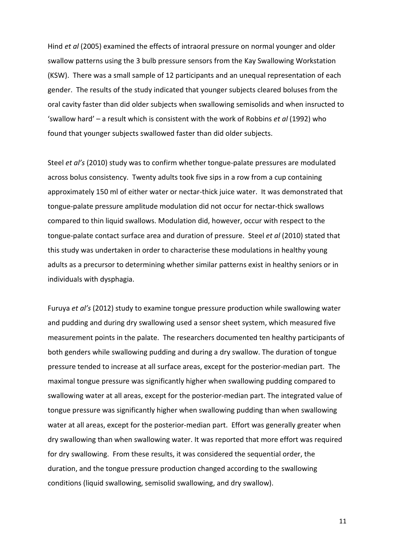Hind et al (2005) examined the effects of intraoral pressure on normal younger and older swallow patterns using the 3 bulb pressure sensors from the Kay Swallowing Workstation (KSW). There was a small sample of 12 participants and an unequal representation of each gender. The results of the study indicated that younger subjects cleared boluses from the oral cavity faster than did older subjects when swallowing semisolids and when insructed to 'swallow hard' – a result which is consistent with the work of Robbins et al (1992) who found that younger subjects swallowed faster than did older subjects.

Steel et al's (2010) study was to confirm whether tongue-palate pressures are modulated across bolus consistency. Twenty adults took five sips in a row from a cup containing approximately 150 ml of either water or nectar-thick juice water. It was demonstrated that tongue-palate pressure amplitude modulation did not occur for nectar-thick swallows compared to thin liquid swallows. Modulation did, however, occur with respect to the tongue-palate contact surface area and duration of pressure. Steel et al (2010) stated that this study was undertaken in order to characterise these modulations in healthy young adults as a precursor to determining whether similar patterns exist in healthy seniors or in individuals with dysphagia.

Furuya et al's (2012) study to examine tongue pressure production while swallowing water and pudding and during dry swallowing used a sensor sheet system, which measured five measurement points in the palate. The researchers documented ten healthy participants of both genders while swallowing pudding and during a dry swallow. The duration of tongue pressure tended to increase at all surface areas, except for the posterior-median part. The maximal tongue pressure was significantly higher when swallowing pudding compared to swallowing water at all areas, except for the posterior-median part. The integrated value of tongue pressure was significantly higher when swallowing pudding than when swallowing water at all areas, except for the posterior-median part. Effort was generally greater when dry swallowing than when swallowing water. It was reported that more effort was required for dry swallowing. From these results, it was considered the sequential order, the duration, and the tongue pressure production changed according to the swallowing conditions (liquid swallowing, semisolid swallowing, and dry swallow).

11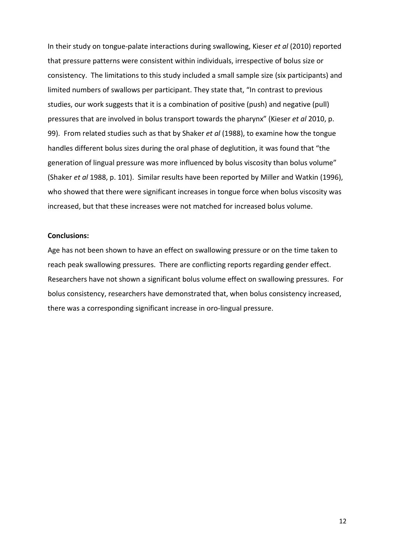In their study on tongue-palate interactions during swallowing, Kieser et al (2010) reported that pressure patterns were consistent within individuals, irrespective of bolus size or consistency. The limitations to this study included a small sample size (six participants) and limited numbers of swallows per participant. They state that, "In contrast to previous studies, our work suggests that it is a combination of positive (push) and negative (pull) pressures that are involved in bolus transport towards the pharynx" (Kieser et al 2010, p. 99). From related studies such as that by Shaker et al (1988), to examine how the tongue handles different bolus sizes during the oral phase of deglutition, it was found that "the generation of lingual pressure was more influenced by bolus viscosity than bolus volume" (Shaker et al 1988, p. 101). Similar results have been reported by Miller and Watkin (1996), who showed that there were significant increases in tongue force when bolus viscosity was increased, but that these increases were not matched for increased bolus volume.

#### Conclusions:

Age has not been shown to have an effect on swallowing pressure or on the time taken to reach peak swallowing pressures. There are conflicting reports regarding gender effect. Researchers have not shown a significant bolus volume effect on swallowing pressures. For bolus consistency, researchers have demonstrated that, when bolus consistency increased, there was a corresponding significant increase in oro-lingual pressure.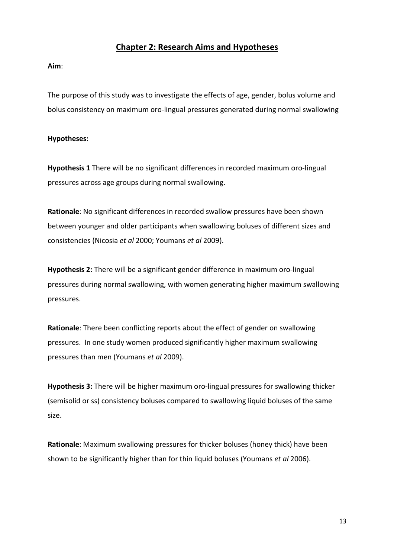### Chapter 2: Research Aims and Hypotheses

Aim:

The purpose of this study was to investigate the effects of age, gender, bolus volume and bolus consistency on maximum oro-lingual pressures generated during normal swallowing

### Hypotheses:

Hypothesis 1 There will be no significant differences in recorded maximum oro-lingual pressures across age groups during normal swallowing.

Rationale: No significant differences in recorded swallow pressures have been shown between younger and older participants when swallowing boluses of different sizes and consistencies (Nicosia et al 2000; Youmans et al 2009).

Hypothesis 2: There will be a significant gender difference in maximum oro-lingual pressures during normal swallowing, with women generating higher maximum swallowing pressures.

Rationale: There been conflicting reports about the effect of gender on swallowing pressures. In one study women produced significantly higher maximum swallowing pressures than men (Youmans et al 2009).

Hypothesis 3: There will be higher maximum oro-lingual pressures for swallowing thicker (semisolid or ss) consistency boluses compared to swallowing liquid boluses of the same size.

Rationale: Maximum swallowing pressures for thicker boluses (honey thick) have been shown to be significantly higher than for thin liquid boluses (Youmans et al 2006).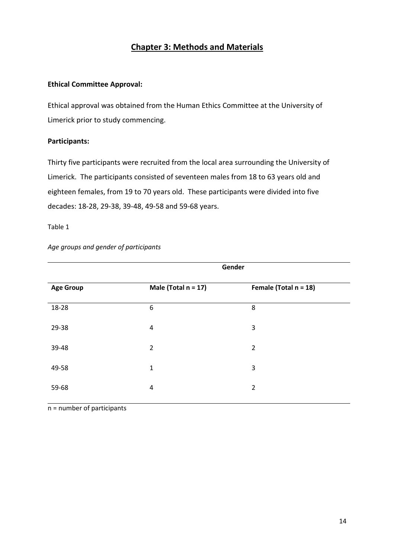## Chapter 3: Methods and Materials

### Ethical Committee Approval:

Ethical approval was obtained from the Human Ethics Committee at the University of Limerick prior to study commencing.

### Participants:

Thirty five participants were recruited from the local area surrounding the University of Limerick. The participants consisted of seventeen males from 18 to 63 years old and eighteen females, from 19 to 70 years old. These participants were divided into five decades: 18-28, 29-38, 39-48, 49-58 and 59-68 years.

#### Table 1

#### Age groups and gender of participants

|                  | Gender                 |                          |  |
|------------------|------------------------|--------------------------|--|
| <b>Age Group</b> | Male (Total $n = 17$ ) | Female (Total $n = 18$ ) |  |
| 18-28            | 6                      | 8                        |  |
| 29-38            | $\overline{a}$         | 3                        |  |
| 39-48            | $\overline{2}$         | $\overline{2}$           |  |
| 49-58            | 1                      | 3                        |  |
| 59-68            | 4                      | 2                        |  |

n = number of participants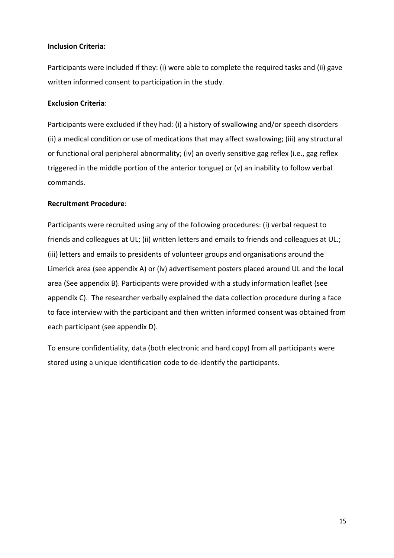### Inclusion Criteria:

Participants were included if they: (i) were able to complete the required tasks and (ii) gave written informed consent to participation in the study.

### Exclusion Criteria:

Participants were excluded if they had: (i) a history of swallowing and/or speech disorders (ii) a medical condition or use of medications that may affect swallowing; (iii) any structural or functional oral peripheral abnormality; (iv) an overly sensitive gag reflex (i.e., gag reflex triggered in the middle portion of the anterior tongue) or (v) an inability to follow verbal commands.

### Recruitment Procedure:

Participants were recruited using any of the following procedures: (i) verbal request to friends and colleagues at UL; (ii) written letters and emails to friends and colleagues at UL.; (iii) letters and emails to presidents of volunteer groups and organisations around the Limerick area (see appendix A) or (iv) advertisement posters placed around UL and the local area (See appendix B). Participants were provided with a study information leaflet (see appendix C). The researcher verbally explained the data collection procedure during a face to face interview with the participant and then written informed consent was obtained from each participant (see appendix D).

To ensure confidentiality, data (both electronic and hard copy) from all participants were stored using a unique identification code to de-identify the participants.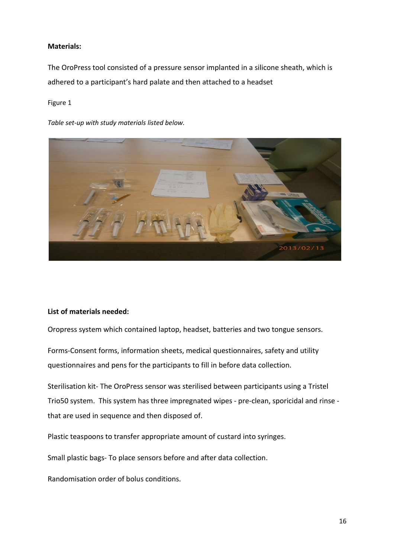### Materials:

The OroPress tool consisted of a pressure sensor implanted in a silicone sheath, which is adhered to a participant's hard palate and then attached to a headset

#### Figure 1

Table set-up with study materials listed below.



### List of materials needed:

Oropress system which contained laptop, headset, batteries and two tongue sensors.

Forms-Consent forms, information sheets, medical questionnaires, safety and utility questionnaires and pens for the participants to fill in before data collection.

Sterilisation kit- The OroPress sensor was sterilised between participants using a Tristel Trio50 system. This system has three impregnated wipes - pre-clean, sporicidal and rinse that are used in sequence and then disposed of.

Plastic teaspoons to transfer appropriate amount of custard into syringes.

Small plastic bags- To place sensors before and after data collection.

Randomisation order of bolus conditions.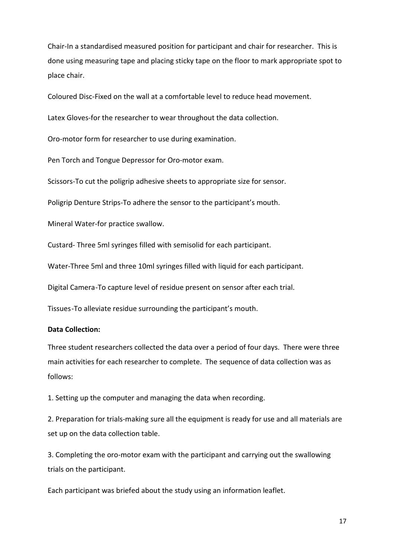Chair-In a standardised measured position for participant and chair for researcher. This is done using measuring tape and placing sticky tape on the floor to mark appropriate spot to place chair.

Coloured Disc-Fixed on the wall at a comfortable level to reduce head movement.

Latex Gloves-for the researcher to wear throughout the data collection.

Oro-motor form for researcher to use during examination.

Pen Torch and Tongue Depressor for Oro-motor exam.

Scissors-To cut the poligrip adhesive sheets to appropriate size for sensor.

Poligrip Denture Strips-To adhere the sensor to the participant's mouth.

Mineral Water-for practice swallow.

Custard- Three 5ml syringes filled with semisolid for each participant.

Water-Three 5ml and three 10ml syringes filled with liquid for each participant.

Digital Camera -To capture level of residue present on sensor after each trial.

Tissues -To alleviate residue surrounding the participant's mouth.

### Data Collection:

Three student researchers collected the data over a period of four days. There were three main activities for each researcher to complete. The sequence of data collection was as follows:

1. Setting up the computer and managing the data when recording.

2. Preparation for trials-making sure all the equipment is ready for use and all materials are set up on the data collection table.

3. Completing the oro-motor exam with the participant and carrying out the swallowing trials on the participant.

Each participant was briefed about the study using an information leaflet.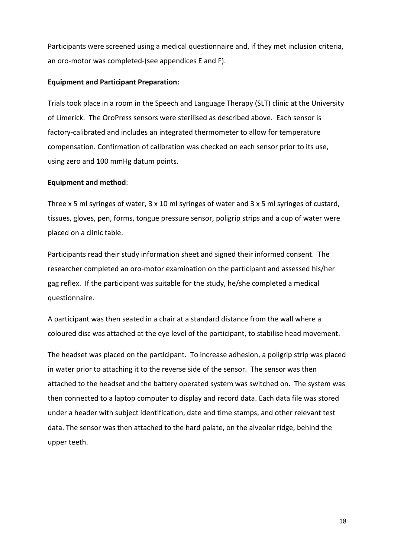Participants were screened using a medical questionnaire and, if they met inclusion criteria, an oro-motor was completed-(see appendices E and F).

#### Equipment and Participant Preparation:

Trials took place in a room in the Speech and Language Therapy (SLT) clinic at the University of Limerick. The OroPress sensors were sterilised as described above. Each sensor is factory-calibrated and includes an integrated thermometer to allow for temperature compensation. Confirmation of calibration was checked on each sensor prior to its use, using zero and 100 mmHg datum points.

#### Equipment and method:

Three x 5 ml syringes of water, 3 x 10 ml syringes of water and 3 x 5 ml syringes of custard, tissues, gloves, pen, forms, tongue pressure sensor, poligrip strips and a cup of water were placed on a clinic table.

Participants read their study information sheet and signed their informed consent. The researcher completed an oro-motor examination on the participant and assessed his/her gag reflex. If the participant was suitable for the study, he/she completed a medical questionnaire.

A participant was then seated in a chair at a standard distance from the wall where a coloured disc was attached at the eye level of the participant, to stabilise head movement.

The headset was placed on the participant. To increase adhesion, a poligrip strip was placed in water prior to attaching it to the reverse side of the sensor. The sensor was then attached to the headset and the battery operated system was switched on. The system was then connected to a laptop computer to display and record data. Each data file was stored under a header with subject identification, date and time stamps, and other relevant test data. The sensor was then attached to the hard palate, on the alveolar ridge, behind the upper teeth.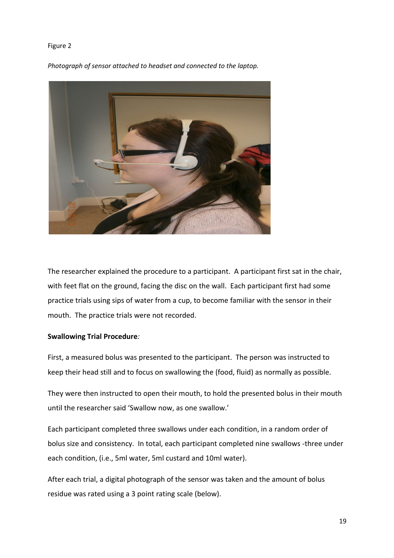#### Figure 2

Photograph of sensor attached to headset and connected to the laptop.



The researcher explained the procedure to a participant. A participant first sat in the chair, with feet flat on the ground, facing the disc on the wall. Each participant first had some practice trials using sips of water from a cup, to become familiar with the sensor in their mouth. The practice trials were not recorded.

### Swallowing Trial Procedure:

First, a measured bolus was presented to the participant. The person was instructed to keep their head still and to focus on swallowing the (food, fluid) as normally as possible.

They were then instructed to open their mouth, to hold the presented bolus in their mouth until the researcher said 'Swallow now, as one swallow.'

Each participant completed three swallows under each condition, in a random order of bolus size and consistency. In total, each participant completed nine swallows -three under each condition, (i.e., 5ml water, 5ml custard and 10ml water).

After each trial, a digital photograph of the sensor was taken and the amount of bolus residue was rated using a 3 point rating scale (below).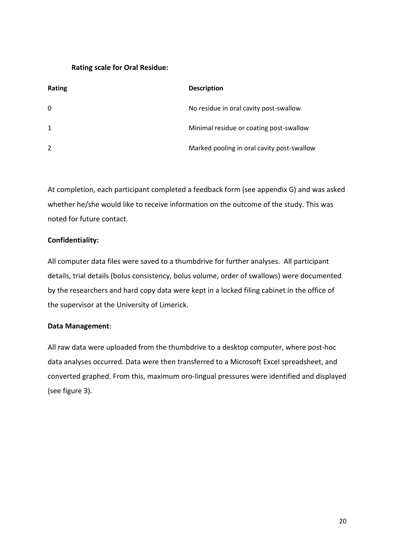### Rating scale for Oral Residue:

| <b>Rating</b> | <b>Description</b>                         |
|---------------|--------------------------------------------|
| $\mathbf{0}$  | No residue in oral cavity post-swallow     |
| 1             | Minimal residue or coating post-swallow    |
| 2             | Marked pooling in oral cavity post-swallow |

At completion, each participant completed a feedback form (see appendix G) and was asked whether he/she would like to receive information on the outcome of the study. This was noted for future contact.

### Confidentiality:

All computer data files were saved to a thumbdrive for further analyses. All participant details, trial details (bolus consistency, bolus volume, order of swallows) were documented by the researchers and hard copy data were kept in a locked filing cabinet in the office of the supervisor at the University of Limerick.

### Data Management:

All raw data were uploaded from the thumbdrive to a desktop computer, where post-hoc data analyses occurred. Data were then transferred to a Microsoft Excel spreadsheet, and converted graphed. From this, maximum oro-lingual pressures were identified and displayed (see figure 3).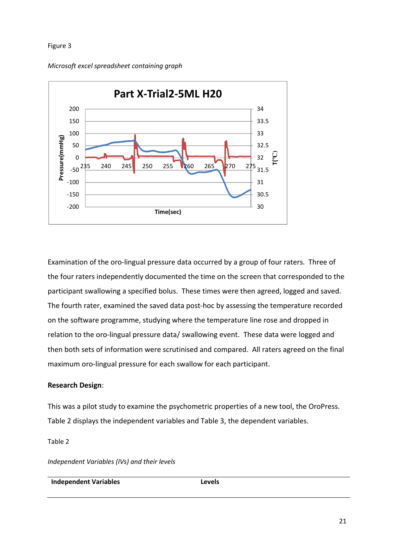#### Figure 3

Microsoft excel spreadsheet containing graph



Examination of the oro-lingual pressure data occurred by a group of four raters. Three of the four raters independently documented the time on the screen that corresponded to the participant swallowing a specified bolus. These times were then agreed, logged and saved. The fourth rater, examined the saved data post-hoc by assessing the temperature recorded on the software programme, studying where the temperature line rose and dropped in relation to the oro-lingual pressure data/ swallowing event. These data were logged and then both sets of information were scrutinised and compared. All raters agreed on the final maximum oro-lingual pressure for each swallow for each participant.

### Research Design:

This was a pilot study to examine the psychometric properties of a new tool, the OroPress. Table 2 displays the independent variables and Table 3, the dependent variables.

Table 2

Independent Variables (IVs) and their levels

Independent Variables **Levels**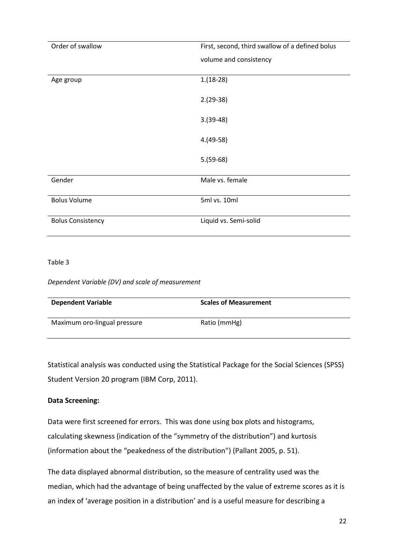| Order of swallow         | First, second, third swallow of a defined bolus |  |  |
|--------------------------|-------------------------------------------------|--|--|
|                          | volume and consistency                          |  |  |
|                          |                                                 |  |  |
| Age group                | $1.(18-28)$                                     |  |  |
|                          |                                                 |  |  |
|                          | $2.(29-38)$                                     |  |  |
|                          | $3.(39-48)$                                     |  |  |
|                          |                                                 |  |  |
|                          | $4.(49-58)$                                     |  |  |
|                          |                                                 |  |  |
|                          | $5.(59-68)$                                     |  |  |
|                          |                                                 |  |  |
| Gender                   | Male vs. female                                 |  |  |
|                          |                                                 |  |  |
| <b>Bolus Volume</b>      | 5ml vs. 10ml                                    |  |  |
|                          |                                                 |  |  |
| <b>Bolus Consistency</b> | Liquid vs. Semi-solid                           |  |  |
|                          |                                                 |  |  |

### Table 3

Dependent Variable (DV) and scale of measurement

| <b>Dependent Variable</b>    | <b>Scales of Measurement</b> |
|------------------------------|------------------------------|
| Maximum oro-lingual pressure | Ratio (mmHg)                 |

Statistical analysis was conducted using the Statistical Package for the Social Sciences (SPSS) Student Version 20 program (IBM Corp, 2011).

### Data Screening:

Data were first screened for errors. This was done using box plots and histograms, calculating skewness (indication of the "symmetry of the distribution") and kurtosis (information about the "peakedness of the distribution") (Pallant 2005, p. 51).

The data displayed abnormal distribution, so the measure of centrality used was the median, which had the advantage of being unaffected by the value of extreme scores as it is an index of 'average position in a distribution' and is a useful measure for describing a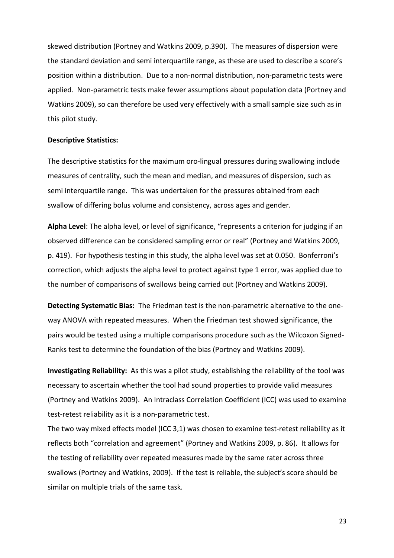skewed distribution (Portney and Watkins 2009, p.390). The measures of dispersion were the standard deviation and semi interquartile range, as these are used to describe a score's position within a distribution. Due to a non-normal distribution, non-parametric tests were applied. Non-parametric tests make fewer assumptions about population data (Portney and Watkins 2009), so can therefore be used very effectively with a small sample size such as in this pilot study.

#### Descriptive Statistics:

The descriptive statistics for the maximum oro-lingual pressures during swallowing include measures of centrality, such the mean and median, and measures of dispersion, such as semi interquartile range. This was undertaken for the pressures obtained from each swallow of differing bolus volume and consistency, across ages and gender.

Alpha Level: The alpha level, or level of significance, "represents a criterion for judging if an observed difference can be considered sampling error or real" (Portney and Watkins 2009, p. 419). For hypothesis testing in this study, the alpha level was set at 0.050. Bonferroni's correction, which adjusts the alpha level to protect against type 1 error, was applied due to the number of comparisons of swallows being carried out (Portney and Watkins 2009).

Detecting Systematic Bias: The Friedman test is the non-parametric alternative to the oneway ANOVA with repeated measures. When the Friedman test showed significance, the pairs would be tested using a multiple comparisons procedure such as the Wilcoxon Signed-Ranks test to determine the foundation of the bias (Portney and Watkins 2009).

Investigating Reliability: As this was a pilot study, establishing the reliability of the tool was necessary to ascertain whether the tool had sound properties to provide valid measures (Portney and Watkins 2009). An Intraclass Correlation Coefficient (ICC) was used to examine test-retest reliability as it is a non-parametric test.

The two way mixed effects model (ICC 3,1) was chosen to examine test-retest reliability as it reflects both "correlation and agreement" (Portney and Watkins 2009, p. 86). It allows for the testing of reliability over repeated measures made by the same rater across three swallows (Portney and Watkins, 2009). If the test is reliable, the subject's score should be similar on multiple trials of the same task.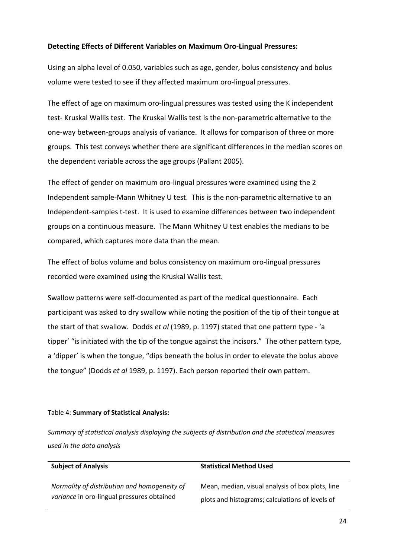### Detecting Effects of Different Variables on Maximum Oro-Lingual Pressures:

Using an alpha level of 0.050, variables such as age, gender, bolus consistency and bolus volume were tested to see if they affected maximum oro-lingual pressures.

The effect of age on maximum oro-lingual pressures was tested using the K independent test- Kruskal Wallis test. The Kruskal Wallis test is the non-parametric alternative to the one-way between-groups analysis of variance. It allows for comparison of three or more groups. This test conveys whether there are significant differences in the median scores on the dependent variable across the age groups (Pallant 2005).

The effect of gender on maximum oro-lingual pressures were examined using the 2 Independent sample-Mann Whitney U test. This is the non-parametric alternative to an Independent-samples t-test. It is used to examine differences between two independent groups on a continuous measure. The Mann Whitney U test enables the medians to be compared, which captures more data than the mean.

The effect of bolus volume and bolus consistency on maximum oro-lingual pressures recorded were examined using the Kruskal Wallis test.

Swallow patterns were self-documented as part of the medical questionnaire. Each participant was asked to dry swallow while noting the position of the tip of their tongue at the start of that swallow. Dodds *et al* (1989, p. 1197) stated that one pattern type - 'a tipper' "is initiated with the tip of the tongue against the incisors." The other pattern type, a 'dipper' is when the tongue, "dips beneath the bolus in order to elevate the bolus above the tongue" (Dodds et al 1989, p. 1197). Each person reported their own pattern.

#### Table 4: Summary of Statistical Analysis:

Summary of statistical analysis displaying the subjects of distribution and the statistical measures used in the data analysis

| <b>Subject of Analysis</b>                   | <b>Statistical Method Used</b>                   |  |  |
|----------------------------------------------|--------------------------------------------------|--|--|
| Normality of distribution and homogeneity of | Mean, median, visual analysis of box plots, line |  |  |
| variance in oro-lingual pressures obtained   | plots and histograms; calculations of levels of  |  |  |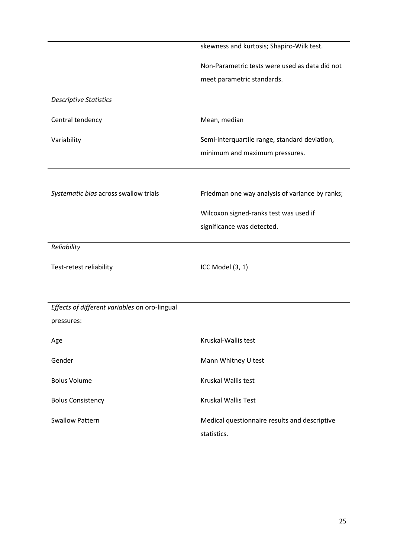|                                               | skewness and kurtosis; Shapiro-Wilk test.                            |
|-----------------------------------------------|----------------------------------------------------------------------|
|                                               | Non-Parametric tests were used as data did not                       |
|                                               | meet parametric standards.                                           |
| <b>Descriptive Statistics</b>                 |                                                                      |
| Central tendency                              | Mean, median                                                         |
| Variability                                   | Semi-interquartile range, standard deviation,                        |
|                                               | minimum and maximum pressures.                                       |
|                                               |                                                                      |
| Systematic bias across swallow trials         | Friedman one way analysis of variance by ranks;                      |
|                                               |                                                                      |
|                                               | Wilcoxon signed-ranks test was used if<br>significance was detected. |
|                                               |                                                                      |
| Reliability                                   |                                                                      |
| Test-retest reliability                       | ICC Model (3, 1)                                                     |
|                                               |                                                                      |
|                                               |                                                                      |
| Effects of different variables on oro-lingual |                                                                      |
| pressures:                                    |                                                                      |
| Age                                           | Kruskal-Wallis test                                                  |
| Gender                                        | Mann Whitney U test                                                  |
| <b>Bolus Volume</b>                           | Kruskal Wallis test                                                  |
| <b>Bolus Consistency</b>                      | <b>Kruskal Wallis Test</b>                                           |
| <b>Swallow Pattern</b>                        | Medical questionnaire results and descriptive<br>statistics.         |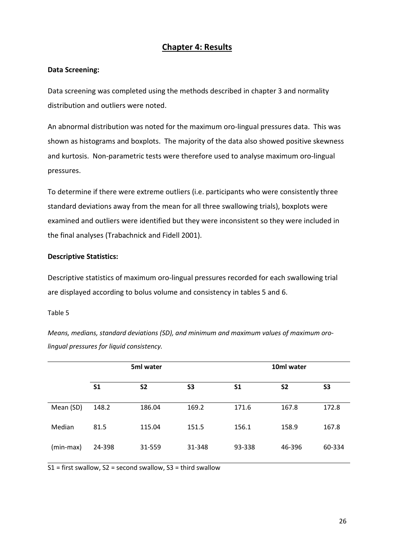### Chapter 4: Results

### Data Screening:

Data screening was completed using the methods described in chapter 3 and normality distribution and outliers were noted.

An abnormal distribution was noted for the maximum oro-lingual pressures data. This was shown as histograms and boxplots. The majority of the data also showed positive skewness and kurtosis. Non-parametric tests were therefore used to analyse maximum oro-lingual pressures.

To determine if there were extreme outliers (i.e. participants who were consistently three standard deviations away from the mean for all three swallowing trials), boxplots were examined and outliers were identified but they were inconsistent so they were included in the final analyses (Trabachnick and Fidell 2001).

### Descriptive Statistics:

Descriptive statistics of maximum oro-lingual pressures recorded for each swallowing trial are displayed according to bolus volume and consistency in tables 5 and 6.

### Table 5

Means, medians, standard deviations (SD), and minimum and maximum values of maximum orolingual pressures for liquid consistency.

| 5ml water |                | 10ml water     |                |                |                |                |
|-----------|----------------|----------------|----------------|----------------|----------------|----------------|
|           | S <sub>1</sub> | S <sub>2</sub> | S <sub>3</sub> | S <sub>1</sub> | S <sub>2</sub> | S <sub>3</sub> |
| Mean (SD) | 148.2          | 186.04         | 169.2          | 171.6          | 167.8          | 172.8          |
| Median    | 81.5           | 115.04         | 151.5          | 156.1          | 158.9          | 167.8          |
| (min-max) | 24-398         | 31-559         | 31-348         | 93-338         | 46-396         | 60-334         |

S1 = first swallow, S2 = second swallow, S3 = third swallow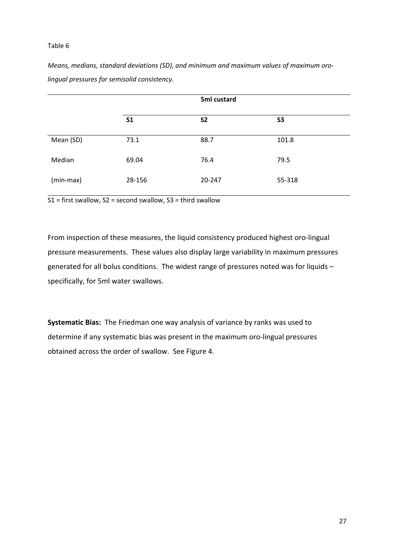#### Table 6

Means, medians, standard deviations (SD), and minimum and maximum values of maximum orolingual pressures for semisolid consistency.

|           |                | 5ml custard |           |
|-----------|----------------|-------------|-----------|
|           | S <sub>1</sub> | <b>S2</b>   | <b>S3</b> |
| Mean (SD) | 73.1           | 88.7        | 101.8     |
| Median    | 69.04          | 76.4        | 79.5      |
| (min-max) | 28-156         | 20-247      | 55-318    |

 $S1 =$  first swallow,  $S2 =$  second swallow,  $S3 =$  third swallow

From inspection of these measures, the liquid consistency produced highest oro-lingual pressure measurements. These values also display large variability in maximum pressures generated for all bolus conditions. The widest range of pressures noted was for liquids – specifically, for 5ml water swallows.

Systematic Bias: The Friedman one way analysis of variance by ranks was used to determine if any systematic bias was present in the maximum oro-lingual pressures obtained across the order of swallow. See Figure 4.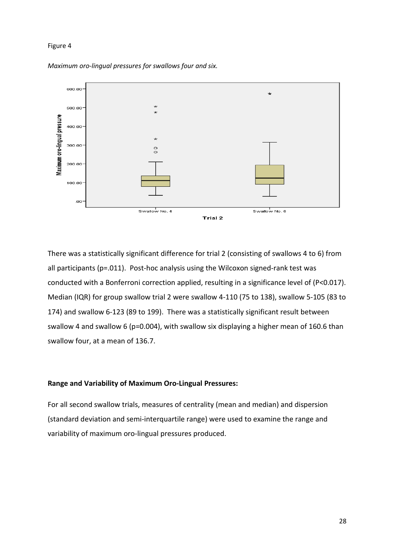#### Figure 4



Maximum oro-lingual pressures for swallows four and six.

There was a statistically significant difference for trial 2 (consisting of swallows 4 to 6) from all participants (p=.011). Post-hoc analysis using the Wilcoxon signed-rank test was conducted with a Bonferroni correction applied, resulting in a significance level of (P<0.017). Median (IQR) for group swallow trial 2 were swallow 4-110 (75 to 138), swallow 5-105 (83 to 174) and swallow 6-123 (89 to 199). There was a statistically significant result between swallow 4 and swallow 6 (p=0.004), with swallow six displaying a higher mean of 160.6 than swallow four, at a mean of 136.7.

#### Range and Variability of Maximum Oro-Lingual Pressures:

For all second swallow trials, measures of centrality (mean and median) and dispersion (standard deviation and semi-interquartile range) were used to examine the range and variability of maximum oro-lingual pressures produced.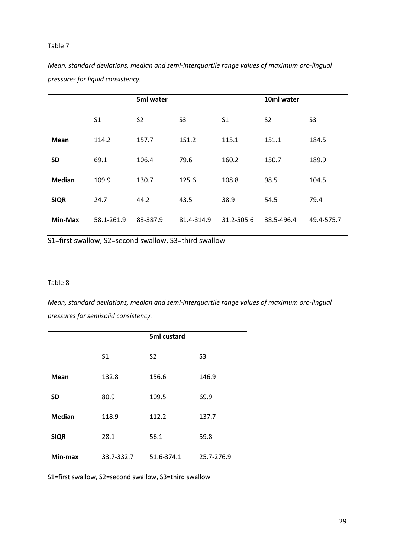#### Table 7

|               |                | 5ml water      |                |                | 10ml water     |                |
|---------------|----------------|----------------|----------------|----------------|----------------|----------------|
|               | S <sub>1</sub> | S <sub>2</sub> | S <sub>3</sub> | S <sub>1</sub> | S <sub>2</sub> | S <sub>3</sub> |
| <b>Mean</b>   | 114.2          | 157.7          | 151.2          | 115.1          | 151.1          | 184.5          |
| <b>SD</b>     | 69.1           | 106.4          | 79.6           | 160.2          | 150.7          | 189.9          |
| <b>Median</b> | 109.9          | 130.7          | 125.6          | 108.8          | 98.5           | 104.5          |
| <b>SIQR</b>   | 24.7           | 44.2           | 43.5           | 38.9           | 54.5           | 79.4           |
| Min-Max       | 58.1-261.9     | 83-387.9       | 81.4-314.9     | 31.2-505.6     | 38.5-496.4     | 49.4-575.7     |

Mean, standard deviations, median and semi-interquartile range values of maximum oro-lingual pressures for liquid consistency.

S1=first swallow, S2=second swallow, S3=third swallow

#### Table 8

Mean, standard deviations, median and semi-interquartile range values of maximum oro-lingual pressures for semisolid consistency.

|               |                | 5ml custard    |                |
|---------------|----------------|----------------|----------------|
|               | S <sub>1</sub> | S <sub>2</sub> | S <sub>3</sub> |
| <b>Mean</b>   | 132.8          | 156.6          | 146.9          |
| <b>SD</b>     | 80.9           | 109.5          | 69.9           |
| <b>Median</b> | 118.9          | 112.2          | 137.7          |
| <b>SIQR</b>   | 28.1           | 56.1           | 59.8           |
| Min-max       | 33.7-332.7     | 51.6-374.1     | 25.7-276.9     |

S1=first swallow, S2=second swallow, S3=third swallow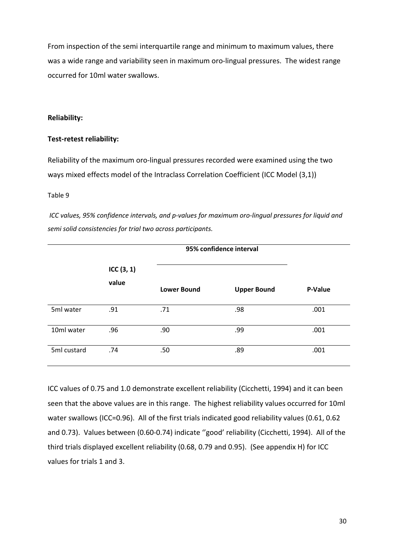From inspection of the semi interquartile range and minimum to maximum values, there was a wide range and variability seen in maximum oro-lingual pressures. The widest range occurred for 10ml water swallows.

#### Reliability:

#### Test-retest reliability:

Reliability of the maximum oro-lingual pressures recorded were examined using the two ways mixed effects model of the Intraclass Correlation Coefficient (ICC Model (3,1))

#### Table 9

ICC values, 95% confidence intervals, and p-values for maximum oro-lingual pressures for liquid and semi solid consistencies for trial two across participants.

|             |                       |                    | 95% confidence interval |         |  |  |
|-------------|-----------------------|--------------------|-------------------------|---------|--|--|
|             | ICC $(3, 1)$<br>value | <b>Lower Bound</b> | <b>Upper Bound</b>      | P-Value |  |  |
| 5ml water   | .91                   | .71                | .98                     | .001    |  |  |
| 10ml water  | .96                   | .90                | .99                     | .001    |  |  |
| 5ml custard | .74                   | .50                | .89                     | .001    |  |  |

ICC values of 0.75 and 1.0 demonstrate excellent reliability (Cicchetti, 1994) and it can been seen that the above values are in this range. The highest reliability values occurred for 10ml water swallows (ICC=0.96). All of the first trials indicated good reliability values (0.61, 0.62 and 0.73). Values between (0.60-0.74) indicate ''good' reliability (Cicchetti, 1994). All of the third trials displayed excellent reliability (0.68, 0.79 and 0.95). (See appendix H) for ICC values for trials 1 and 3.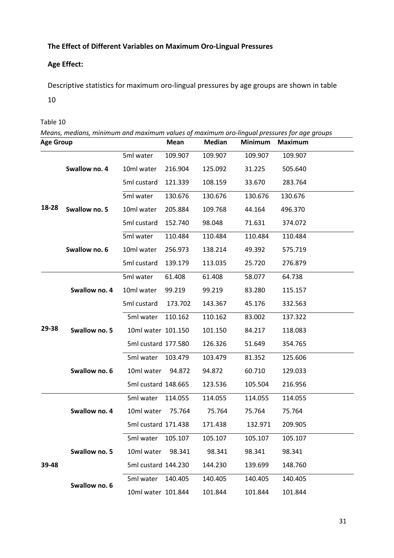## The Effect of Different Variables on Maximum Oro-Lingual Pressures

## Age Effect:

Descriptive statistics for maximum oro-lingual pressures by age groups are shown in table

10

Table 10

| <b>Age Group</b> |               |                     | <b>Mean</b> | <b>Median</b> | <b>Minimum</b> | Means, medians, minimum and maximum values of maximum oro-lingual pressures for age groups<br><b>Maximum</b> |
|------------------|---------------|---------------------|-------------|---------------|----------------|--------------------------------------------------------------------------------------------------------------|
|                  |               | 5ml water           | 109.907     | 109.907       | 109.907        | 109.907                                                                                                      |
|                  | Swallow no. 4 | 10ml water          | 216.904     | 125.092       | 31.225         | 505.640                                                                                                      |
|                  | 5ml custard   | 121.339             | 108.159     | 33.670        | 283.764        |                                                                                                              |
|                  |               | 5ml water           | 130.676     | 130.676       | 130.676        | 130.676                                                                                                      |
| 18-28            | Swallow no. 5 | 10ml water          | 205.884     | 109.768       | 44.164         | 496.370                                                                                                      |
|                  |               | 5ml custard         | 152.740     | 98.048        | 71.631         | 374.072                                                                                                      |
|                  |               | 5ml water           | 110.484     | 110.484       | 110.484        | 110.484                                                                                                      |
|                  | Swallow no. 6 | 10ml water          | 256.973     | 138.214       | 49.392         | 575.719                                                                                                      |
|                  |               | 5ml custard         | 139.179     | 113.035       | 25.720         | 276.879                                                                                                      |
|                  |               | 5ml water           | 61.408      | 61.408        | 58.077         | 64.738                                                                                                       |
|                  | Swallow no. 4 | 10ml water          | 99.219      | 99.219        | 83.280         | 115.157                                                                                                      |
|                  |               | 5ml custard         | 173.702     | 143.367       | 45.176         | 332.563                                                                                                      |
|                  |               | 5ml water           | 110.162     | 110.162       | 83.002         | 137.322                                                                                                      |
| 29-38            | Swallow no. 5 | 10ml water 101.150  |             | 101.150       | 84.217         | 118.083                                                                                                      |
|                  |               | 5ml custard 177.580 |             | 126.326       | 51.649         | 354.765                                                                                                      |
|                  |               | 5ml water           | 103.479     | 103.479       | 81.352         | 125.606                                                                                                      |
|                  | Swallow no. 6 | 10ml water          | 94.872      | 94.872        | 60.710         | 129.033                                                                                                      |
|                  |               | 5ml custard 148.665 |             | 123.536       | 105.504        | 216.956                                                                                                      |
|                  |               | 5ml water           | 114.055     | 114.055       | 114.055        | 114.055                                                                                                      |
|                  | Swallow no. 4 | 10ml water          | 75.764      | 75.764        | 75.764         | 75.764                                                                                                       |
|                  |               | 5ml custard 171.438 |             | 171.438       | 132.971        | 209.905                                                                                                      |
|                  |               | 5ml water           | 105.107     | 105.107       | 105.107        | 105.107                                                                                                      |
|                  | Swallow no. 5 | 10ml water          | 98.341      | 98.341        | 98.341         | 98.341                                                                                                       |
| 39-48            |               | 5ml custard 144.230 |             | 144.230       | 139.699        | 148.760                                                                                                      |
|                  |               | 5ml water           | 140.405     | 140.405       | 140.405        | 140.405                                                                                                      |
|                  | Swallow no. 6 | 10ml water 101.844  |             | 101.844       | 101.844        | 101.844                                                                                                      |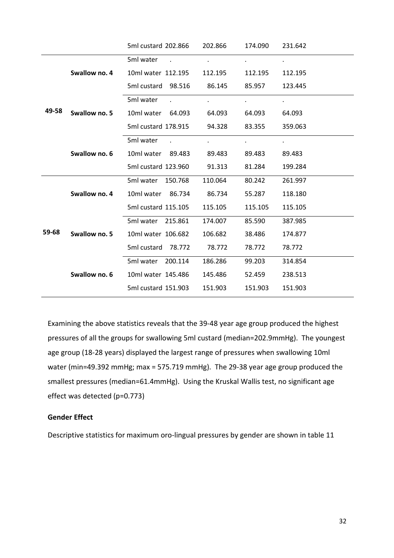|       |               | 5ml custard 202.866               | 202.866   | 174.090        | 231.642 |
|-------|---------------|-----------------------------------|-----------|----------------|---------|
|       |               | 5ml water<br>$\sim$               | $\bullet$ | $\blacksquare$ |         |
|       | Swallow no. 4 | 10ml water 112.195                | 112.195   | 112.195        | 112.195 |
|       |               | 5ml custard 98.516                | 86.145    | 85.957         | 123.445 |
|       |               | 5ml water                         |           |                |         |
| 49-58 | Swallow no. 5 | 10ml water 64.093                 | 64.093    | 64.093         | 64.093  |
|       |               | 5ml custard 178.915               | 94.328    | 83.355         | 359.063 |
|       | Swallow no. 6 | 5ml water<br>$\ddot{\phantom{a}}$ |           |                |         |
|       |               | 10ml water 89.483                 | 89.483    | 89.483         | 89.483  |
|       |               | 5ml custard 123.960               | 91.313    | 81.284         | 199.284 |
|       |               | 5ml water<br>150.768              | 110.064   | 80.242         | 261.997 |
|       | Swallow no. 4 | 10ml water<br>86.734              | 86.734    | 55.287         | 118.180 |
|       |               | 5ml custard 115.105               | 115.105   | 115.105        | 115.105 |
|       |               | 5ml water<br>215.861              | 174.007   | 85.590         | 387.985 |
| 59-68 | Swallow no. 5 | 10ml water 106.682                | 106.682   | 38.486         | 174.877 |
|       |               | 5ml custard<br>78.772             | 78.772    | 78.772         | 78.772  |
|       |               | 200.114<br>5ml water              | 186.286   | 99.203         | 314.854 |
|       | Swallow no. 6 | 10ml water 145.486                | 145.486   | 52.459         | 238.513 |
|       |               | 5ml custard 151.903               | 151.903   | 151.903        | 151.903 |

Examining the above statistics reveals that the 39-48 year age group produced the highest pressures of all the groups for swallowing 5ml custard (median=202.9mmHg). The youngest age group (18-28 years) displayed the largest range of pressures when swallowing 10ml water (min=49.392 mmHg; max = 575.719 mmHg). The 29-38 year age group produced the smallest pressures (median=61.4mmHg). Using the Kruskal Wallis test, no significant age effect was detected (p=0.773)

### Gender Effect

Descriptive statistics for maximum oro-lingual pressures by gender are shown in table 11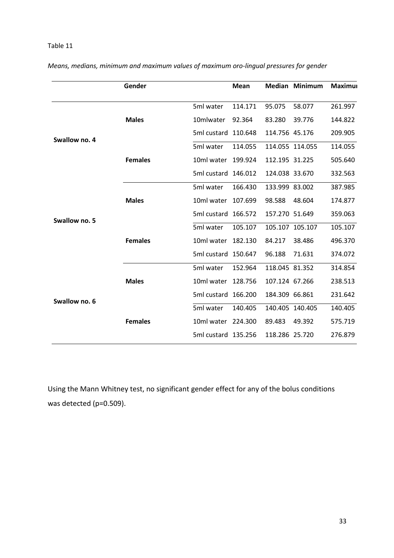#### Table 11

|               | Gender         |             | Mean    |                | <b>Median Minimum</b> | <b>Maximur</b> |
|---------------|----------------|-------------|---------|----------------|-----------------------|----------------|
|               |                | 5ml water   | 114.171 | 95.075         | 58.077                | 261.997        |
|               | <b>Males</b>   | 10mlwater   | 92.364  | 83.280         | 39.776                | 144.822        |
| Swallow no. 4 |                | 5ml custard | 110.648 | 114.756 45.176 |                       | 209.905        |
|               |                | 5ml water   | 114.055 |                | 114.055 114.055       | 114.055        |
|               | <b>Females</b> | 10ml water  | 199.924 | 112.195 31.225 |                       | 505.640        |
|               |                | 5ml custard | 146.012 | 124.038 33.670 |                       | 332.563        |
|               |                | 5ml water   | 166.430 | 133.999 83.002 |                       | 387.985        |
|               | <b>Males</b>   | 10ml water  | 107.699 | 98.588         | 48.604                | 174.877        |
| Swallow no. 5 |                | 5ml custard | 166.572 | 157.270 51.649 |                       | 359.063        |
|               |                | 5ml water   | 105.107 |                | 105.107 105.107       | 105.107        |
|               | <b>Females</b> | 10ml water  | 182.130 | 84.217         | 38.486                | 496.370        |
|               |                | 5ml custard | 150.647 | 96.188         | 71.631                | 374.072        |
|               |                | 5ml water   | 152.964 | 118.045 81.352 |                       | 314.854        |
| Swallow no. 6 | <b>Males</b>   | 10ml water  | 128.756 | 107.124 67.266 |                       | 238.513        |
|               |                | 5ml custard | 166.200 | 184.309 66.861 |                       | 231.642        |
|               |                | 5ml water   | 140.405 |                | 140.405 140.405       | 140.405        |
|               | <b>Females</b> | 10ml water  | 224.300 | 89.483         | 49.392                | 575.719        |
|               |                | 5ml custard | 135.256 | 118.286 25.720 |                       | 276.879        |

Means, medians, minimum and maximum values of maximum oro-lingual pressures for gender

Using the Mann Whitney test, no significant gender effect for any of the bolus conditions was detected (p=0.509).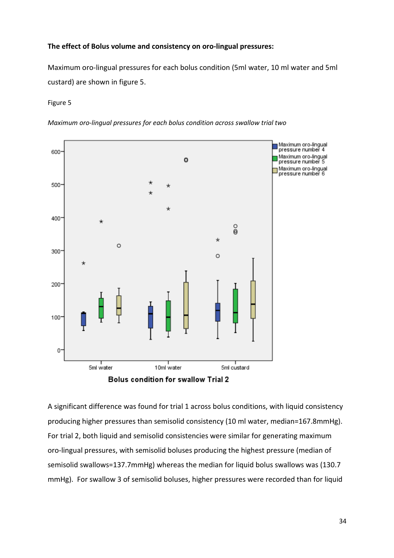#### The effect of Bolus volume and consistency on oro-lingual pressures:

Maximum oro-lingual pressures for each bolus condition (5ml water, 10 ml water and 5ml custard) are shown in figure 5.

#### Figure 5

Maximum oro-lingual pressures for each bolus condition across swallow trial two



A significant difference was found for trial 1 across bolus conditions, with liquid consistency producing higher pressures than semisolid consistency (10 ml water, median=167.8mmHg). For trial 2, both liquid and semisolid consistencies were similar for generating maximum oro-lingual pressures, with semisolid boluses producing the highest pressure (median of semisolid swallows=137.7mmHg) whereas the median for liquid bolus swallows was (130.7 mmHg). For swallow 3 of semisolid boluses, higher pressures were recorded than for liquid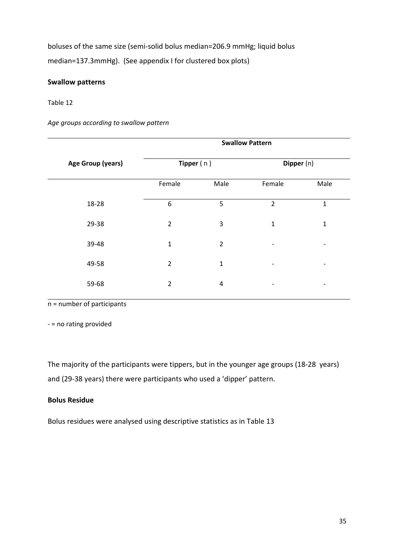boluses of the same size (semi-solid bolus median=206.9 mmHg; liquid bolus median=137.3mmHg). (See appendix I for clustered box plots)

### Swallow patterns

#### Table 12

Age groups according to swallow pattern

|                          |                |                | <b>Swallow Pattern</b> |                          |
|--------------------------|----------------|----------------|------------------------|--------------------------|
| <b>Age Group (years)</b> | Tipper $(n)$   |                | Dipper (n)             |                          |
|                          | Female         | Male           | Female                 | Male                     |
| 18-28                    | 6              | 5              | $\overline{2}$         | 1                        |
| 29-38                    | $\overline{2}$ | 3              | $\mathbf{1}$           | $\mathbf 1$              |
| 39-48                    | $\mathbf 1$    | $\overline{2}$ |                        |                          |
| 49-58                    | $\overline{2}$ | $\mathbf{1}$   |                        | -                        |
| 59-68                    | $\overline{2}$ | 4              |                        | $\overline{\phantom{a}}$ |
|                          |                |                |                        |                          |

n = number of participants

- = no rating provided

The majority of the participants were tippers, but in the younger age groups (18-28 years) and (29-38 years) there were participants who used a 'dipper' pattern.

### Bolus Residue

Bolus residues were analysed using descriptive statistics as in Table 13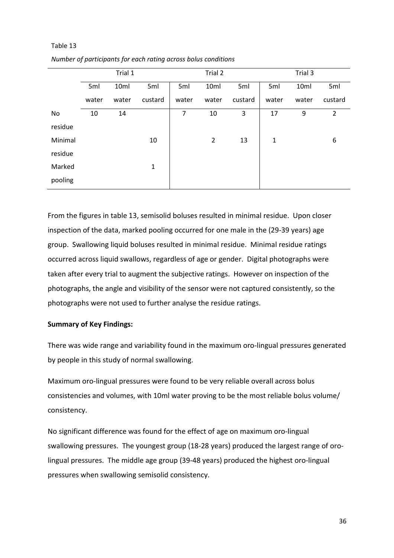|         |       | Trial 1 |              |       | Trial 2        |         |              | Trial 3 |                |
|---------|-------|---------|--------------|-------|----------------|---------|--------------|---------|----------------|
|         | 5ml   | 10ml    | 5ml          | 5ml   | 10ml           | 5ml     | 5ml          | 10ml    | 5ml            |
|         | water | water   | custard      | water | water          | custard | water        | water   | custard        |
| No      | 10    | 14      |              | 7     | 10             | 3       | 17           | 9       | $\overline{2}$ |
| residue |       |         |              |       |                |         |              |         |                |
| Minimal |       |         | 10           |       | $\overline{2}$ | 13      | $\mathbf{1}$ |         | 6              |
| residue |       |         |              |       |                |         |              |         |                |
| Marked  |       |         | $\mathbf{1}$ |       |                |         |              |         |                |
| pooling |       |         |              |       |                |         |              |         |                |

Number of participants for each rating across bolus conditions

Table 13

From the figures in table 13, semisolid boluses resulted in minimal residue. Upon closer inspection of the data, marked pooling occurred for one male in the (29-39 years) age group. Swallowing liquid boluses resulted in minimal residue. Minimal residue ratings occurred across liquid swallows, regardless of age or gender. Digital photographs were taken after every trial to augment the subjective ratings. However on inspection of the photographs, the angle and visibility of the sensor were not captured consistently, so the photographs were not used to further analyse the residue ratings.

### Summary of Key Findings:

There was wide range and variability found in the maximum oro-lingual pressures generated by people in this study of normal swallowing.

Maximum oro-lingual pressures were found to be very reliable overall across bolus consistencies and volumes, with 10ml water proving to be the most reliable bolus volume/ consistency.

No significant difference was found for the effect of age on maximum oro-lingual swallowing pressures. The youngest group (18-28 years) produced the largest range of orolingual pressures. The middle age group (39-48 years) produced the highest oro-lingual pressures when swallowing semisolid consistency.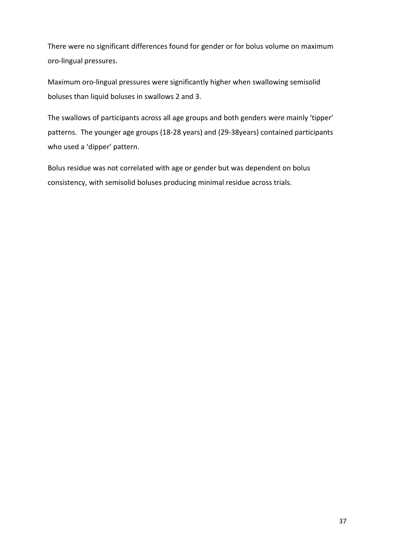There were no significant differences found for gender or for bolus volume on maximum oro-lingual pressures.

Maximum oro-lingual pressures were significantly higher when swallowing semisolid boluses than liquid boluses in swallows 2 and 3.

The swallows of participants across all age groups and both genders were mainly 'tipper' patterns. The younger age groups (18-28 years) and (29-38years) contained participants who used a 'dipper' pattern.

Bolus residue was not correlated with age or gender but was dependent on bolus consistency, with semisolid boluses producing minimal residue across trials.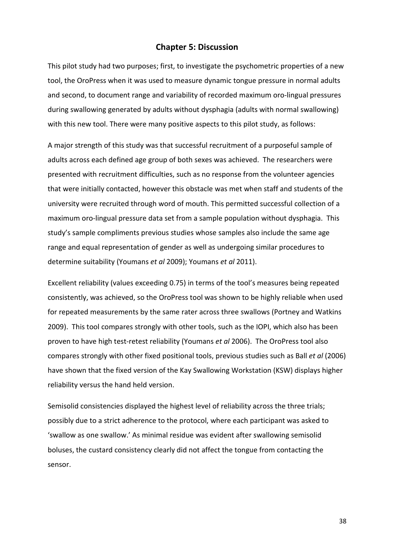### Chapter 5: Discussion

This pilot study had two purposes; first, to investigate the psychometric properties of a new tool, the OroPress when it was used to measure dynamic tongue pressure in normal adults and second, to document range and variability of recorded maximum oro-lingual pressures during swallowing generated by adults without dysphagia (adults with normal swallowing) with this new tool. There were many positive aspects to this pilot study, as follows:

A major strength of this study was that successful recruitment of a purposeful sample of adults across each defined age group of both sexes was achieved. The researchers were presented with recruitment difficulties, such as no response from the volunteer agencies that were initially contacted, however this obstacle was met when staff and students of the university were recruited through word of mouth. This permitted successful collection of a maximum oro-lingual pressure data set from a sample population without dysphagia. This study's sample compliments previous studies whose samples also include the same age range and equal representation of gender as well as undergoing similar procedures to determine suitability (Youmans et al 2009); Youmans et al 2011).

Excellent reliability (values exceeding 0.75) in terms of the tool's measures being repeated consistently, was achieved, so the OroPress tool was shown to be highly reliable when used for repeated measurements by the same rater across three swallows (Portney and Watkins 2009). This tool compares strongly with other tools, such as the IOPI, which also has been proven to have high test-retest reliability (Youmans et al 2006). The OroPress tool also compares strongly with other fixed positional tools, previous studies such as Ball et al (2006) have shown that the fixed version of the Kay Swallowing Workstation (KSW) displays higher reliability versus the hand held version.

Semisolid consistencies displayed the highest level of reliability across the three trials; possibly due to a strict adherence to the protocol, where each participant was asked to 'swallow as one swallow.' As minimal residue was evident after swallowing semisolid boluses, the custard consistency clearly did not affect the tongue from contacting the sensor.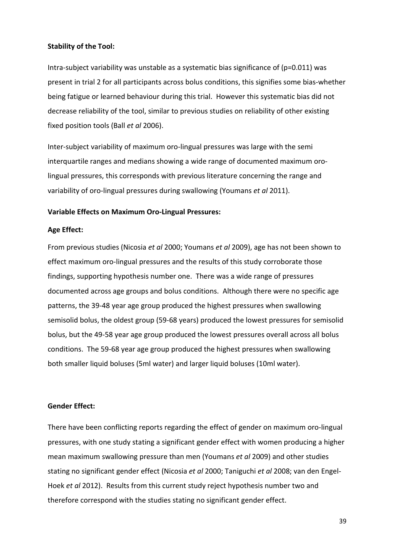#### Stability of the Tool:

Intra-subject variability was unstable as a systematic bias significance of (p=0.011) was present in trial 2 for all participants across bolus conditions, this signifies some bias-whether being fatigue or learned behaviour during this trial. However this systematic bias did not decrease reliability of the tool, similar to previous studies on reliability of other existing fixed position tools (Ball et al 2006).

Inter-subject variability of maximum oro-lingual pressures was large with the semi interquartile ranges and medians showing a wide range of documented maximum orolingual pressures, this corresponds with previous literature concerning the range and variability of oro-lingual pressures during swallowing (Youmans et al 2011).

#### Variable Effects on Maximum Oro-Lingual Pressures:

#### Age Effect:

From previous studies (Nicosia et al 2000; Youmans et al 2009), age has not been shown to effect maximum oro-lingual pressures and the results of this study corroborate those findings, supporting hypothesis number one. There was a wide range of pressures documented across age groups and bolus conditions. Although there were no specific age patterns, the 39-48 year age group produced the highest pressures when swallowing semisolid bolus, the oldest group (59-68 years) produced the lowest pressures for semisolid bolus, but the 49-58 year age group produced the lowest pressures overall across all bolus conditions. The 59-68 year age group produced the highest pressures when swallowing both smaller liquid boluses (5ml water) and larger liquid boluses (10ml water).

#### Gender Effect:

There have been conflicting reports regarding the effect of gender on maximum oro-lingual pressures, with one study stating a significant gender effect with women producing a higher mean maximum swallowing pressure than men (Youmans et al 2009) and other studies stating no significant gender effect (Nicosia et al 2000; Taniguchi et al 2008; van den Engel-Hoek et al 2012). Results from this current study reject hypothesis number two and therefore correspond with the studies stating no significant gender effect.

39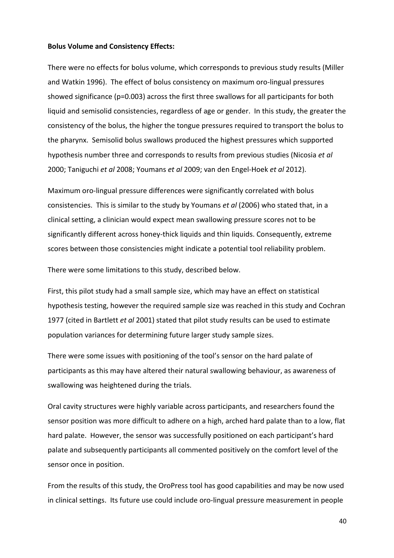#### Bolus Volume and Consistency Effects:

There were no effects for bolus volume, which corresponds to previous study results (Miller and Watkin 1996). The effect of bolus consistency on maximum oro-lingual pressures showed significance (p=0.003) across the first three swallows for all participants for both liquid and semisolid consistencies, regardless of age or gender. In this study, the greater the consistency of the bolus, the higher the tongue pressures required to transport the bolus to the pharynx. Semisolid bolus swallows produced the highest pressures which supported hypothesis number three and corresponds to results from previous studies (Nicosia et al 2000; Taniguchi et al 2008; Youmans et al 2009; van den Engel-Hoek et al 2012).

Maximum oro-lingual pressure differences were significantly correlated with bolus consistencies. This is similar to the study by Youmans et al (2006) who stated that, in a clinical setting, a clinician would expect mean swallowing pressure scores not to be significantly different across honey-thick liquids and thin liquids. Consequently, extreme scores between those consistencies might indicate a potential tool reliability problem.

There were some limitations to this study, described below.

First, this pilot study had a small sample size, which may have an effect on statistical hypothesis testing, however the required sample size was reached in this study and Cochran 1977 (cited in Bartlett et al 2001) stated that pilot study results can be used to estimate population variances for determining future larger study sample sizes.

There were some issues with positioning of the tool's sensor on the hard palate of participants as this may have altered their natural swallowing behaviour, as awareness of swallowing was heightened during the trials.

Oral cavity structures were highly variable across participants, and researchers found the sensor position was more difficult to adhere on a high, arched hard palate than to a low, flat hard palate. However, the sensor was successfully positioned on each participant's hard palate and subsequently participants all commented positively on the comfort level of the sensor once in position.

From the results of this study, the OroPress tool has good capabilities and may be now used in clinical settings. Its future use could include oro-lingual pressure measurement in people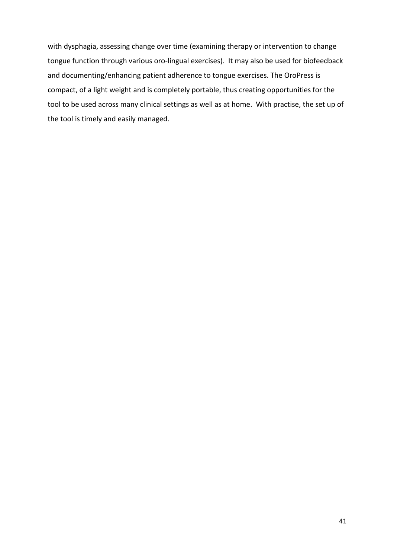with dysphagia, assessing change over time (examining therapy or intervention to change tongue function through various oro-lingual exercises). It may also be used for biofeedback and documenting/enhancing patient adherence to tongue exercises. The OroPress is compact, of a light weight and is completely portable, thus creating opportunities for the tool to be used across many clinical settings as well as at home. With practise, the set up of the tool is timely and easily managed.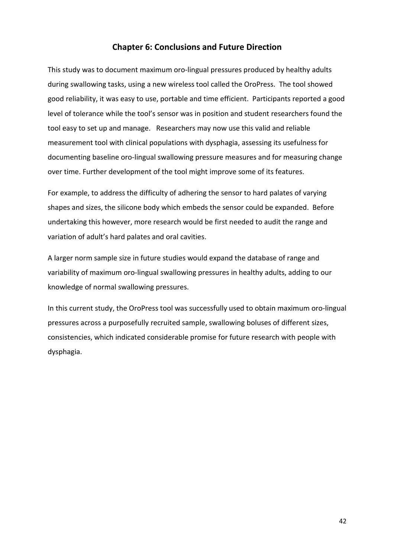### Chapter 6: Conclusions and Future Direction

This study was to document maximum oro-lingual pressures produced by healthy adults during swallowing tasks, using a new wireless tool called the OroPress. The tool showed good reliability, it was easy to use, portable and time efficient. Participants reported a good level of tolerance while the tool's sensor was in position and student researchers found the tool easy to set up and manage. Researchers may now use this valid and reliable measurement tool with clinical populations with dysphagia, assessing its usefulness for documenting baseline oro-lingual swallowing pressure measures and for measuring change over time. Further development of the tool might improve some of its features.

For example, to address the difficulty of adhering the sensor to hard palates of varying shapes and sizes, the silicone body which embeds the sensor could be expanded. Before undertaking this however, more research would be first needed to audit the range and variation of adult's hard palates and oral cavities.

A larger norm sample size in future studies would expand the database of range and variability of maximum oro-lingual swallowing pressures in healthy adults, adding to our knowledge of normal swallowing pressures.

In this current study, the OroPress tool was successfully used to obtain maximum oro-lingual pressures across a purposefully recruited sample, swallowing boluses of different sizes, consistencies, which indicated considerable promise for future research with people with dysphagia.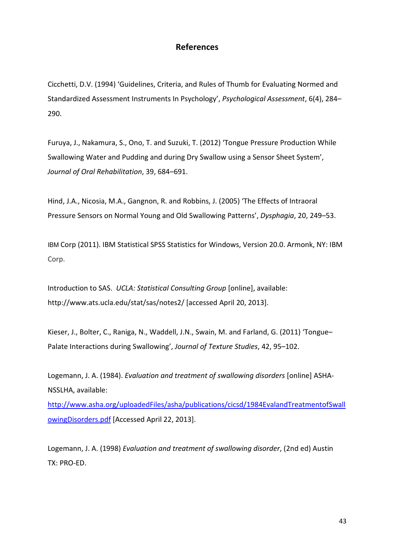### References

Cicchetti, D.V. (1994) 'Guidelines, Criteria, and Rules of Thumb for Evaluating Normed and Standardized Assessment Instruments In Psychology', Psychological Assessment, 6(4), 284– 290.

Furuya, J., Nakamura, S., Ono, T. and Suzuki, T. (2012) 'Tongue Pressure Production While Swallowing Water and Pudding and during Dry Swallow using a Sensor Sheet System', Journal of Oral Rehabilitation, 39, 684–691.

Hind, J.A., Nicosia, M.A., Gangnon, R. and Robbins, J. (2005) 'The Effects of Intraoral Pressure Sensors on Normal Young and Old Swallowing Patterns', Dysphagia, 20, 249–53.

IBM Corp (2011). IBM Statistical SPSS Statistics for Windows, Version 20.0. Armonk, NY: IBM Corp.

Introduction to SAS. UCLA: Statistical Consulting Group [online], available: http://www.ats.ucla.edu/stat/sas/notes2/ [accessed April 20, 2013].

Kieser, J., Bolter, C., Raniga, N., Waddell, J.N., Swain, M. and Farland, G. (2011) 'Tongue– Palate Interactions during Swallowing', Journal of Texture Studies, 42, 95–102.

Logemann, J. A. (1984). Evaluation and treatment of swallowing disorders [online] ASHA-NSSLHA, available:

http://www.asha.org/uploadedFiles/asha/publications/cicsd/1984EvalandTreatmentofSwall owingDisorders.pdf [Accessed April 22, 2013].

Logemann, J. A. (1998) Evaluation and treatment of swallowing disorder, (2nd ed) Austin TX: PRO-ED.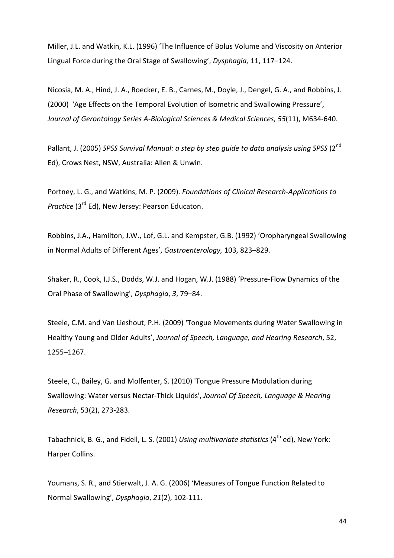Miller, J.L. and Watkin, K.L. (1996) 'The Influence of Bolus Volume and Viscosity on Anterior Lingual Force during the Oral Stage of Swallowing', Dysphagia, 11, 117–124.

Nicosia, M. A., Hind, J. A., Roecker, E. B., Carnes, M., Doyle, J., Dengel, G. A., and Robbins, J. (2000) 'Age Effects on the Temporal Evolution of Isometric and Swallowing Pressure', Journal of Gerontology Series A-Biological Sciences & Medical Sciences, 55(11), M634-640.

Pallant, J. (2005) SPSS Survival Manual: a step by step quide to data analysis usina SPSS (2<sup>nd</sup> Ed), Crows Nest, NSW, Australia: Allen & Unwin.

Portney, L. G., and Watkins, M. P. (2009). Foundations of Clinical Research-Applications to Practice (3<sup>rd</sup> Ed), New Jersey: Pearson Educaton.

Robbins, J.A., Hamilton, J.W., Lof, G.L. and Kempster, G.B. (1992) 'Oropharyngeal Swallowing in Normal Adults of Different Ages', Gastroenterology, 103, 823–829.

Shaker, R., Cook, I.J.S., Dodds, W.J. and Hogan, W.J. (1988) 'Pressure-Flow Dynamics of the Oral Phase of Swallowing', Dysphagia, 3, 79–84.

Steele, C.M. and Van Lieshout, P.H. (2009) 'Tongue Movements during Water Swallowing in Healthy Young and Older Adults', Journal of Speech, Language, and Hearing Research, 52, 1255–1267.

Steele, C., Bailey, G. and Molfenter, S. (2010) 'Tongue Pressure Modulation during Swallowing: Water versus Nectar-Thick Liquids', Journal Of Speech, Language & Hearing Research, 53(2), 273-283.

Tabachnick, B. G., and Fidell, L. S. (2001) Using multivariate statistics (4<sup>th</sup> ed), New York: Harper Collins.

Youmans, S. R., and Stierwalt, J. A. G. (2006) 'Measures of Tongue Function Related to Normal Swallowing', Dysphagia, 21(2), 102-111.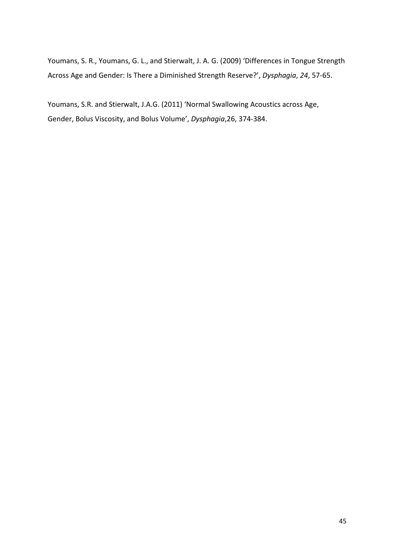Youmans, S. R., Youmans, G. L., and Stierwalt, J. A. G. (2009) 'Differences in Tongue Strength Across Age and Gender: Is There a Diminished Strength Reserve?', Dysphagia, 24, 57-65.

Youmans, S.R. and Stierwalt, J.A.G. (2011) 'Normal Swallowing Acoustics across Age, Gender, Bolus Viscosity, and Bolus Volume', Dysphagia,26, 374-384.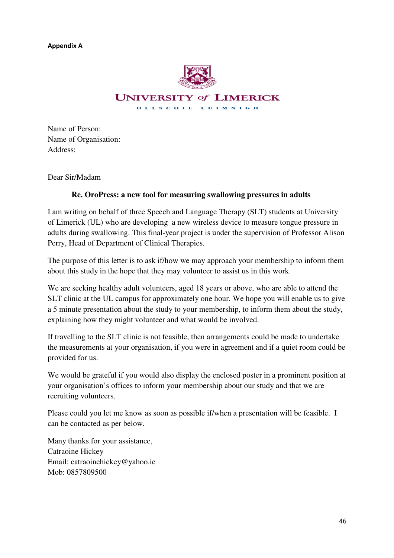Appendix A



Name of Person: Name of Organisation: Address:

Dear Sir/Madam

### **Re. OroPress: a new tool for measuring swallowing pressures in adults**

I am writing on behalf of three Speech and Language Therapy (SLT) students at University of Limerick (UL) who are developing a new wireless device to measure tongue pressure in adults during swallowing. This final-year project is under the supervision of Professor Alison Perry, Head of Department of Clinical Therapies.

The purpose of this letter is to ask if/how we may approach your membership to inform them about this study in the hope that they may volunteer to assist us in this work.

We are seeking healthy adult volunteers, aged 18 years or above, who are able to attend the SLT clinic at the UL campus for approximately one hour. We hope you will enable us to give a 5 minute presentation about the study to your membership, to inform them about the study, explaining how they might volunteer and what would be involved.

If travelling to the SLT clinic is not feasible, then arrangements could be made to undertake the measurements at your organisation, if you were in agreement and if a quiet room could be provided for us.

We would be grateful if you would also display the enclosed poster in a prominent position at your organisation's offices to inform your membership about our study and that we are recruiting volunteers.

Please could you let me know as soon as possible if/when a presentation will be feasible. I can be contacted as per below.

Many thanks for your assistance, Catraoine Hickey Email: catraoinehickey@yahoo.ie Mob: 0857809500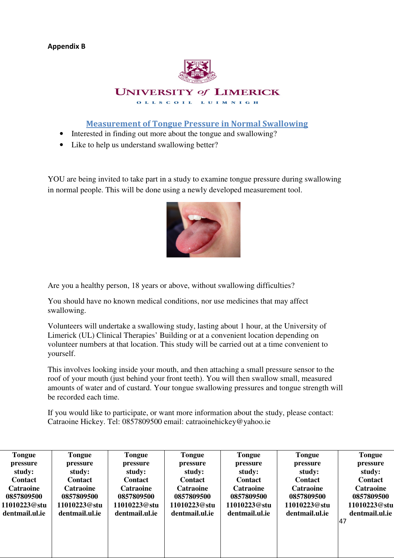

Measurement of Tongue Pressure in Normal Swallowing

- Interested in finding out more about the tongue and swallowing?
- Like to help us understand swallowing better?

YOU are being invited to take part in a study to examine tongue pressure during swallowing in normal people. This will be done using a newly developed measurement tool.



Are you a healthy person, 18 years or above, without swallowing difficulties?

You should have no known medical conditions, nor use medicines that may affect swallowing.

Volunteers will undertake a swallowing study, lasting about 1 hour, at the University of Limerick (UL) Clinical Therapies' Building or at a convenient location depending on volunteer numbers at that location. This study will be carried out at a time convenient to yourself.

This involves looking inside your mouth, and then attaching a small pressure sensor to the roof of your mouth (just behind your front teeth). You will then swallow small, measured amounts of water and of custard. Your tongue swallowing pressures and tongue strength will be recorded each time.

If you would like to participate, or want more information about the study, please contact: Catraoine Hickey. Tel: 0857809500 email: catraoinehickey@yahoo.ie

| <b>Tongue</b>    | Tongue           | <b>Tongue</b>    | <b>Tongue</b>    | <b>Tongue</b>    | <b>Tongue</b>    | <b>Tongue</b>    |
|------------------|------------------|------------------|------------------|------------------|------------------|------------------|
| pressure         | pressure         | pressure         | pressure         | pressure         | pressure         | pressure         |
| study:           | study:           | study:           | study:           | study:           | study:           | study:           |
| <b>Contact</b>   | <b>Contact</b>   | <b>Contact</b>   | <b>Contact</b>   | <b>Contact</b>   | <b>Contact</b>   | <b>Contact</b>   |
| <b>Catraoine</b> | <b>Catraoine</b> | <b>Catraoine</b> | <b>Catraoine</b> | <b>Catraoine</b> | <b>Catraoine</b> | <b>Catraoine</b> |
| 0857809500       | 0857809500       | 0857809500       | 0857809500       | 0857809500       | 0857809500       | 0857809500       |
| 11010223@stu     | 11010223@stu     | 11010223@stu     | 11010223@stu     | 11010223@stu     | 11010223@stu     | 11010223@stu     |
| dentmail.ul.ie   | dentmail.ul.ie   | dentmail.ul.ie   | dentmail.ul.ie   | dentmail.ul.ie   | dentmail.ul.ie   | dentmail.ul.ie   |
|                  |                  |                  |                  |                  |                  | 47               |
|                  |                  |                  |                  |                  |                  |                  |
|                  |                  |                  |                  |                  |                  |                  |
|                  |                  |                  |                  |                  |                  |                  |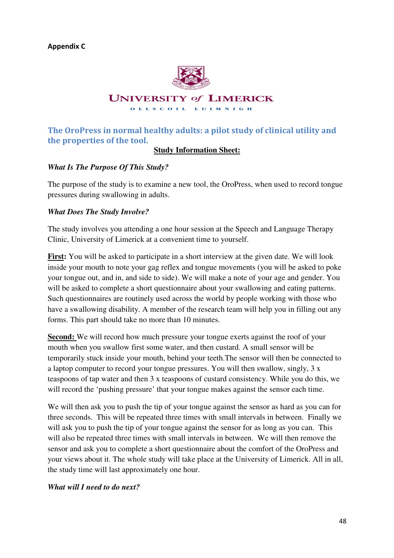

# The OroPress in normal healthy adults: a pilot study of clinical utility and the properties of the tool.

### **Study Information Sheet:**

### *What Is The Purpose Of This Study?*

The purpose of the study is to examine a new tool, the OroPress, when used to record tongue pressures during swallowing in adults.

### *What Does The Study Involve?*

The study involves you attending a one hour session at the Speech and Language Therapy Clinic, University of Limerick at a convenient time to yourself.

**First:** You will be asked to participate in a short interview at the given date. We will look inside your mouth to note your gag reflex and tongue movements (you will be asked to poke your tongue out, and in, and side to side). We will make a note of your age and gender. You will be asked to complete a short questionnaire about your swallowing and eating patterns. Such questionnaires are routinely used across the world by people working with those who have a swallowing disability. A member of the research team will help you in filling out any forms. This part should take no more than 10 minutes.

**Second:** We will record how much pressure your tongue exerts against the roof of your mouth when you swallow first some water, and then custard. A small sensor will be temporarily stuck inside your mouth, behind your teeth.The sensor will then be connected to a laptop computer to record your tongue pressures. You will then swallow, singly, 3 x teaspoons of tap water and then 3 x teaspoons of custard consistency. While you do this, we will record the 'pushing pressure' that your tongue makes against the sensor each time.

We will then ask you to push the tip of your tongue against the sensor as hard as you can for three seconds. This will be repeated three times with small intervals in between. Finally we will ask you to push the tip of your tongue against the sensor for as long as you can. This will also be repeated three times with small intervals in between. We will then remove the sensor and ask you to complete a short questionnaire about the comfort of the OroPress and your views about it. The whole study will take place at the University of Limerick. All in all, the study time will last approximately one hour.

### *What will I need to do next?*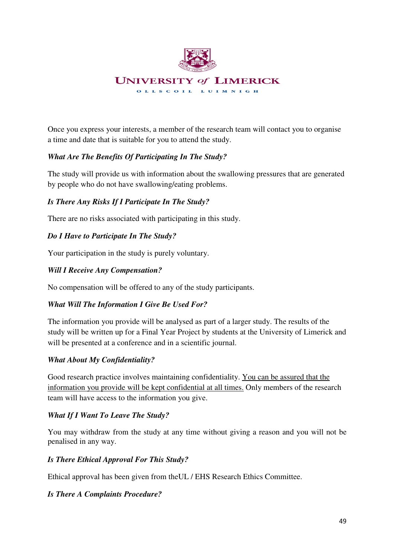

Once you express your interests, a member of the research team will contact you to organise a time and date that is suitable for you to attend the study.

### *What Are The Benefits Of Participating In The Study?*

The study will provide us with information about the swallowing pressures that are generated by people who do not have swallowing/eating problems.

### *Is There Any Risks If I Participate In The Study?*

There are no risks associated with participating in this study.

### *Do I Have to Participate In The Study?*

Your participation in the study is purely voluntary.

### *Will I Receive Any Compensation?*

No compensation will be offered to any of the study participants.

### *What Will The Information I Give Be Used For?*

The information you provide will be analysed as part of a larger study. The results of the study will be written up for a Final Year Project by students at the University of Limerick and will be presented at a conference and in a scientific journal.

### *What About My Confidentiality?*

Good research practice involves maintaining confidentiality. You can be assured that the information you provide will be kept confidential at all times. Only members of the research team will have access to the information you give.

### *What If I Want To Leave The Study?*

 You may withdraw from the study at any time without giving a reason and you will not be penalised in any way.

### *Is There Ethical Approval For This Study?*

Ethical approval has been given from theUL / EHS Research Ethics Committee.

### *Is There A Complaints Procedure?*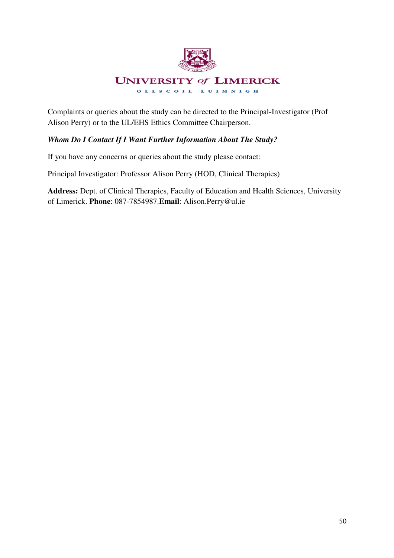

Complaints or queries about the study can be directed to the Principal-Investigator (Prof Alison Perry) or to the UL/EHS Ethics Committee Chairperson.

### *Whom Do I Contact If I Want Further Information About The Study?*

If you have any concerns or queries about the study please contact:

Principal Investigator: Professor Alison Perry (HOD, Clinical Therapies)

**Address:** Dept. of Clinical Therapies, Faculty of Education and Health Sciences, University of Limerick. **Phone**: 087-7854987.**Email**: Alison.Perry@ul.ie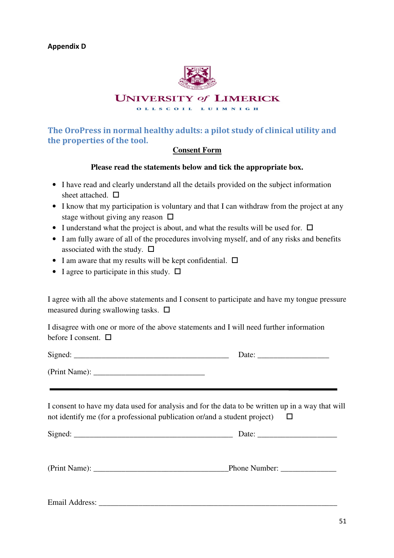

### **UNIVERSITY of LIMERICK**

OLLSCOIL LUIMNIGH

# The OroPress in normal healthy adults: a pilot study of clinical utility and the properties of the tool.

### **Consent Form**

### **Please read the statements below and tick the appropriate box.**

- I have read and clearly understand all the details provided on the subject information sheet attached.  $\Pi$
- I know that my participation is voluntary and that I can withdraw from the project at any stage without giving any reason  $\Box$
- I understand what the project is about, and what the results will be used for.  $\Box$
- I am fully aware of all of the procedures involving myself, and of any risks and benefits associated with the study.  $\square$
- I am aware that my results will be kept confidential.  $\Box$
- I agree to participate in this study.  $\square$

I agree with all the above statements and I consent to participate and have my tongue pressure measured during swallowing tasks.  $\Box$ 

I disagree with one or more of the above statements and I will need further information before I consent.  $\Box$ 

Signed:  $\Box$ 

(Print Name): \_\_\_\_\_\_\_\_\_\_\_\_\_\_\_\_\_\_\_\_\_\_\_\_\_\_\_\_

I consent to have my data used for analysis and for the data to be written up in a way that will not identify me (for a professional publication or/and a student project)  $\Box$ 

Signed: \_\_\_\_\_\_\_\_\_\_\_\_\_\_\_\_\_\_\_\_\_\_\_\_\_\_\_\_\_\_\_\_\_\_\_\_\_\_\_\_ Date: \_\_\_\_\_\_\_\_\_\_\_\_\_\_\_\_\_\_\_\_

(Print Name):  $\Box$  Phone Number:

Email Address: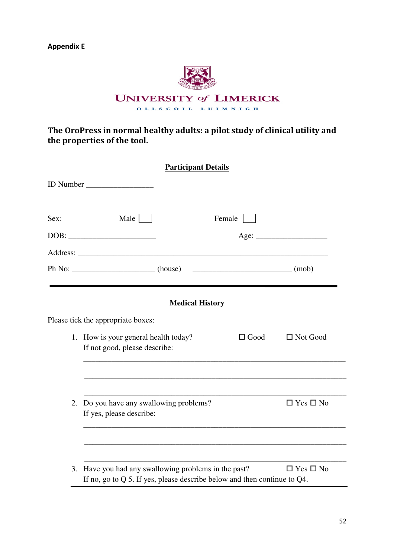Appendix E



The OroPress in normal healthy adults: a pilot study of clinical utility and the properties of the tool.

|      | <b>Participant Details</b>                                                                                                         |                      |                      |
|------|------------------------------------------------------------------------------------------------------------------------------------|----------------------|----------------------|
|      | ID Number                                                                                                                          |                      |                      |
| Sex: | Male                                                                                                                               | Female               |                      |
|      | DOB:                                                                                                                               |                      | Age:                 |
|      |                                                                                                                                    |                      |                      |
|      | $Ph No:$ (house)                                                                                                                   | $\sqrt{(m \cdot b)}$ |                      |
|      |                                                                                                                                    |                      |                      |
|      | <b>Medical History</b>                                                                                                             |                      |                      |
|      | Please tick the appropriate boxes:                                                                                                 |                      |                      |
|      | 1. How is your general health today?<br>If not good, please describe:                                                              | $\Box$ Good          | $\Box$ Not Good      |
|      |                                                                                                                                    |                      |                      |
| 2.   | Do you have any swallowing problems?<br>If yes, please describe:                                                                   |                      | $\Box$ Yes $\Box$ No |
|      |                                                                                                                                    |                      |                      |
| 3.   | Have you had any swallowing problems in the past?<br>If no, go to $Q$ 5. If yes, please describe below and then continue to $Q4$ . |                      | $\Box$ Yes $\Box$ No |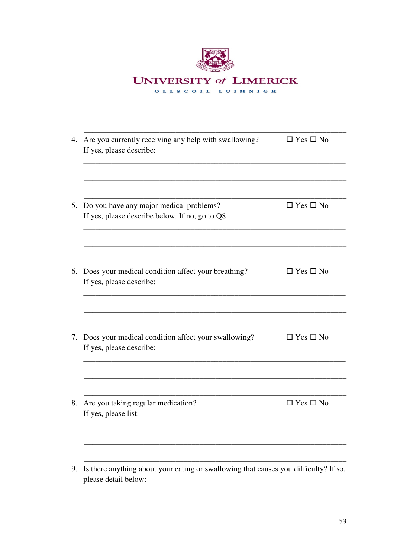| <b>UNIVERSITY of LIMERICK</b> |
|-------------------------------|
| OLLSCOIL LUIMNIGH             |
|                               |

| 4. Are you currently receiving any help with swallowing?<br>If yes, please describe:                         | $\Box$ Yes $\Box$ No |
|--------------------------------------------------------------------------------------------------------------|----------------------|
|                                                                                                              |                      |
| Do you have any major medical problems?<br>If yes, please describe below. If no, go to Q8.                   | $\Box$ Yes $\Box$ No |
| Does your medical condition affect your breathing?<br>If yes, please describe:                               | $\Box$ Yes $\Box$ No |
|                                                                                                              |                      |
| Does your medical condition affect your swallowing?<br>If yes, please describe:                              | $\Box$ Yes $\Box$ No |
| Are you taking regular medication?<br>If yes, please list:                                                   | $\Box$ Yes $\Box$ No |
|                                                                                                              |                      |
| Is there anything about your eating or swallowing that causes you difficulty? If so,<br>please detail below: |                      |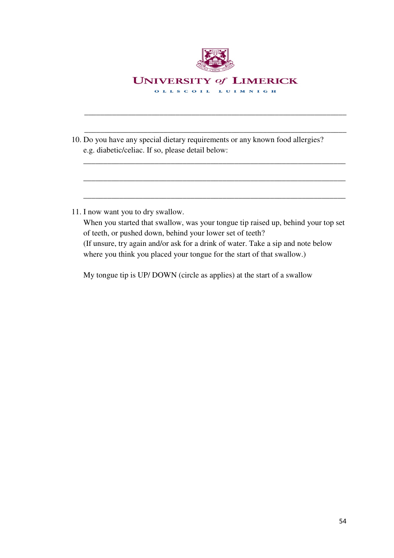

\_\_\_\_\_\_\_\_\_\_\_\_\_\_\_\_\_\_\_\_\_\_\_\_\_\_\_\_\_\_\_\_\_\_\_\_\_\_\_\_\_\_\_\_\_\_\_\_\_\_\_\_\_\_\_\_\_\_\_\_\_\_\_\_\_\_

\_\_\_\_\_\_\_\_\_\_\_\_\_\_\_\_\_\_\_\_\_\_\_\_\_\_\_\_\_\_\_\_\_\_\_\_\_\_\_\_\_\_\_\_\_\_\_\_\_\_\_\_\_\_\_\_\_\_\_\_\_\_\_\_\_\_

\_\_\_\_\_\_\_\_\_\_\_\_\_\_\_\_\_\_\_\_\_\_\_\_\_\_\_\_\_\_\_\_\_\_\_\_\_\_\_\_\_\_\_\_\_\_\_\_\_\_\_\_\_\_\_\_\_\_\_\_\_\_\_\_\_\_

\_\_\_\_\_\_\_\_\_\_\_\_\_\_\_\_\_\_\_\_\_\_\_\_\_\_\_\_\_\_\_\_\_\_\_\_\_\_\_\_\_\_\_\_\_\_\_\_\_\_\_\_\_\_\_\_\_\_\_\_\_\_\_\_\_\_

\_\_\_\_\_\_\_\_\_\_\_\_\_\_\_\_\_\_\_\_\_\_\_\_\_\_\_\_\_\_\_\_\_\_\_\_\_\_\_\_\_\_\_\_\_\_\_\_\_\_\_\_\_\_\_\_\_\_\_\_\_\_\_\_\_\_

- 10. Do you have any special dietary requirements or any known food allergies? e.g. diabetic/celiac. If so, please detail below:
- 11. I now want you to dry swallow.

When you started that swallow, was your tongue tip raised up, behind your top set of teeth, or pushed down, behind your lower set of teeth? (If unsure, try again and/or ask for a drink of water. Take a sip and note below where you think you placed your tongue for the start of that swallow.)

My tongue tip is UP/ DOWN (circle as applies) at the start of a swallow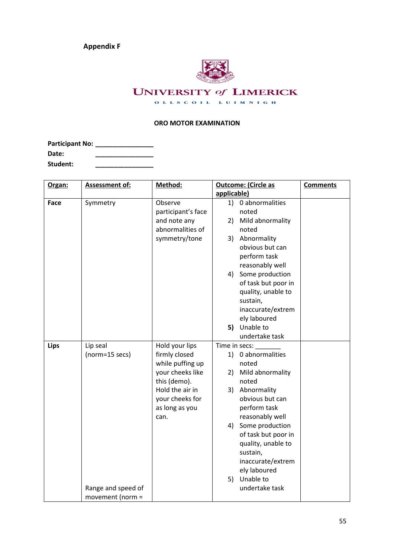Appendix F



# **UNIVERSITY of LIMERICK**

OLLSCOIL LUIMNIGH

### ORO MOTOR EXAMINATION

| <b>Participant No:</b> |  |
|------------------------|--|
| Date:                  |  |
| Student:               |  |

| Organ:      | <b>Assessment of:</b> | Method:            | <b>Outcome: (Circle as</b>                | <b>Comments</b> |
|-------------|-----------------------|--------------------|-------------------------------------------|-----------------|
|             |                       |                    | applicable)                               |                 |
| Face        | Symmetry              | Observe            | 1) 0 abnormalities                        |                 |
|             |                       | participant's face | noted                                     |                 |
|             |                       | and note any       | Mild abnormality<br>2)                    |                 |
|             |                       | abnormalities of   | noted                                     |                 |
|             |                       | symmetry/tone      | Abnormality<br>3)                         |                 |
|             |                       |                    | obvious but can                           |                 |
|             |                       |                    | perform task                              |                 |
|             |                       |                    | reasonably well                           |                 |
|             |                       |                    | Some production<br>4)                     |                 |
|             |                       |                    | of task but poor in                       |                 |
|             |                       |                    | quality, unable to                        |                 |
|             |                       |                    | sustain,                                  |                 |
|             |                       |                    | inaccurate/extrem                         |                 |
|             |                       |                    | ely laboured                              |                 |
|             |                       |                    | Unable to<br>5)                           |                 |
|             |                       |                    | undertake task                            |                 |
| <b>Lips</b> | Lip seal              | Hold your lips     | Time in secs:                             |                 |
|             | (norm=15 secs)        | firmly closed      | 1) 0 abnormalities                        |                 |
|             |                       | while puffing up   | noted                                     |                 |
|             |                       | your cheeks like   | Mild abnormality<br>2)                    |                 |
|             |                       | this (demo).       | noted                                     |                 |
|             |                       | Hold the air in    | Abnormality<br>3)                         |                 |
|             |                       | your cheeks for    | obvious but can                           |                 |
|             |                       | as long as you     | perform task                              |                 |
|             |                       | can.               | reasonably well                           |                 |
|             |                       |                    | Some production<br>4)                     |                 |
|             |                       |                    | of task but poor in<br>quality, unable to |                 |
|             |                       |                    | sustain,                                  |                 |
|             |                       |                    | inaccurate/extrem                         |                 |
|             |                       |                    | ely laboured                              |                 |
|             |                       |                    | Unable to<br>5)                           |                 |
|             | Range and speed of    |                    | undertake task                            |                 |
|             | movement (norm =      |                    |                                           |                 |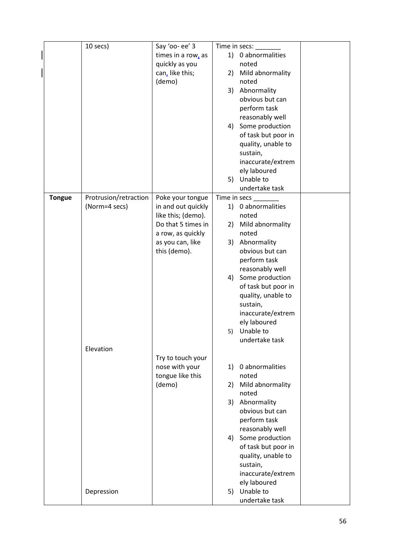|               | 10 secs)              | Say 'oo- ee' 3     | Time in secs:                                |  |
|---------------|-----------------------|--------------------|----------------------------------------------|--|
|               |                       | times in a row, as | 1) 0 abnormalities                           |  |
|               |                       | quickly as you     | noted                                        |  |
|               |                       | can, like this;    | Mild abnormality<br>2)                       |  |
|               |                       | (demo)             | noted                                        |  |
|               |                       |                    | Abnormality<br>3)                            |  |
|               |                       |                    | obvious but can                              |  |
|               |                       |                    | perform task                                 |  |
|               |                       |                    | reasonably well                              |  |
|               |                       |                    | Some production<br>4)                        |  |
|               |                       |                    | of task but poor in                          |  |
|               |                       |                    | quality, unable to                           |  |
|               |                       |                    | sustain,                                     |  |
|               |                       |                    | inaccurate/extrem                            |  |
|               |                       |                    | ely laboured                                 |  |
|               |                       |                    | Unable to<br>5)                              |  |
|               |                       |                    | undertake task                               |  |
| <b>Tongue</b> | Protrusion/retraction | Poke your tongue   | Time in secs                                 |  |
|               | (Norm=4 secs)         | in and out quickly | 1) 0 abnormalities                           |  |
|               |                       | like this; (demo). | noted                                        |  |
|               |                       | Do that 5 times in | Mild abnormality<br>2)                       |  |
|               |                       | a row, as quickly  | noted                                        |  |
|               |                       | as you can, like   | Abnormality<br>3)                            |  |
|               |                       | this (demo).       | obvious but can                              |  |
|               |                       |                    |                                              |  |
|               |                       |                    | perform task                                 |  |
|               |                       |                    | reasonably well                              |  |
|               |                       |                    | Some production<br>4)<br>of task but poor in |  |
|               |                       |                    |                                              |  |
|               |                       |                    | quality, unable to<br>sustain,               |  |
|               |                       |                    | inaccurate/extrem                            |  |
|               |                       |                    | ely laboured                                 |  |
|               |                       |                    | Unable to<br>5)                              |  |
|               |                       |                    | undertake task                               |  |
|               | Elevation             |                    |                                              |  |
|               |                       | Try to touch your  |                                              |  |
|               |                       | nose with your     | 0 abnormalities<br>1)                        |  |
|               |                       | tongue like this   | noted                                        |  |
|               |                       | (demo)             | Mild abnormality<br>2)                       |  |
|               |                       |                    | noted                                        |  |
|               |                       |                    | Abnormality<br>3)                            |  |
|               |                       |                    | obvious but can                              |  |
|               |                       |                    | perform task                                 |  |
|               |                       |                    | reasonably well                              |  |
|               |                       |                    | 4) Some production                           |  |
|               |                       |                    | of task but poor in                          |  |
|               |                       |                    | quality, unable to                           |  |
|               |                       |                    | sustain,                                     |  |
|               |                       |                    | inaccurate/extrem                            |  |
|               |                       |                    | ely laboured                                 |  |
|               | Depression            |                    | Unable to<br>5)                              |  |
|               |                       |                    | undertake task                               |  |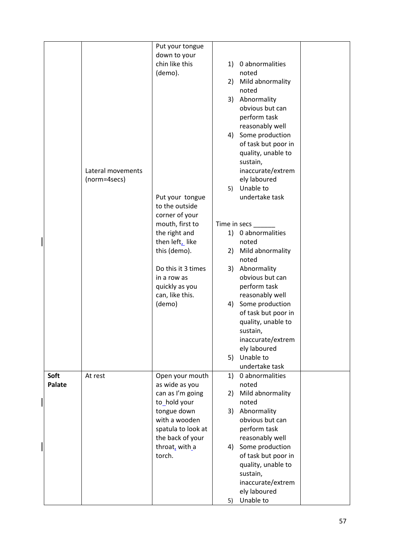|        |                   | Put your tongue    |              |                     |  |
|--------|-------------------|--------------------|--------------|---------------------|--|
|        |                   | down to your       |              |                     |  |
|        |                   | chin like this     | 1)           | 0 abnormalities     |  |
|        |                   | (demo).            |              | noted               |  |
|        |                   |                    | 2)           | Mild abnormality    |  |
|        |                   |                    |              | noted               |  |
|        |                   |                    | 3)           | Abnormality         |  |
|        |                   |                    |              | obvious but can     |  |
|        |                   |                    |              | perform task        |  |
|        |                   |                    |              | reasonably well     |  |
|        |                   |                    |              |                     |  |
|        |                   |                    |              | 4) Some production  |  |
|        |                   |                    |              | of task but poor in |  |
|        |                   |                    |              | quality, unable to  |  |
|        |                   |                    |              | sustain,            |  |
|        | Lateral movements |                    |              | inaccurate/extrem   |  |
|        | (norm=4secs)      |                    |              | ely laboured        |  |
|        |                   |                    | 5)           | Unable to           |  |
|        |                   | Put your tongue    |              | undertake task      |  |
|        |                   | to the outside     |              |                     |  |
|        |                   | corner of your     |              |                     |  |
|        |                   | mouth, first to    | Time in secs |                     |  |
|        |                   | the right and      |              | 1) 0 abnormalities  |  |
|        |                   | then left, like    |              | noted               |  |
|        |                   | this (demo).       | 2)           | Mild abnormality    |  |
|        |                   |                    |              | noted               |  |
|        |                   | Do this it 3 times | 3)           | Abnormality         |  |
|        |                   | in a row as        |              | obvious but can     |  |
|        |                   | quickly as you     |              | perform task        |  |
|        |                   | can, like this.    |              | reasonably well     |  |
|        |                   | (demo)             | 4)           | Some production     |  |
|        |                   |                    |              | of task but poor in |  |
|        |                   |                    |              | quality, unable to  |  |
|        |                   |                    |              | sustain,            |  |
|        |                   |                    |              | inaccurate/extrem   |  |
|        |                   |                    |              | ely laboured        |  |
|        |                   |                    | 5)           | Unable to           |  |
|        |                   |                    |              | undertake task      |  |
| Soft   | At rest           | Open your mouth    | 1)           | 0 abnormalities     |  |
| Palate |                   | as wide as you     |              | noted               |  |
|        |                   | can as I'm going   | 2)           | Mild abnormality    |  |
|        |                   | to_hold your       |              | noted               |  |
|        |                   | tongue down        | 3)           | Abnormality         |  |
|        |                   | with a wooden      |              | obvious but can     |  |
|        |                   | spatula to look at |              | perform task        |  |
|        |                   | the back of your   |              | reasonably well     |  |
|        |                   | throat, with a     | 4)           | Some production     |  |
|        |                   | torch.             |              | of task but poor in |  |
|        |                   |                    |              | quality, unable to  |  |
|        |                   |                    |              | sustain,            |  |
|        |                   |                    |              | inaccurate/extrem   |  |
|        |                   |                    |              | ely laboured        |  |
|        |                   |                    | 5)           | Unable to           |  |
|        |                   |                    |              |                     |  |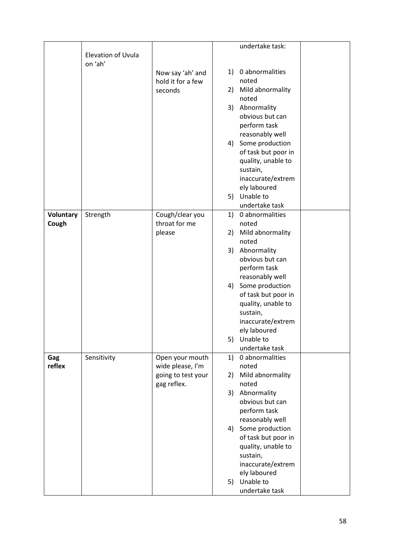|                  |                    |                    |    | undertake task:     |  |
|------------------|--------------------|--------------------|----|---------------------|--|
|                  | Elevation of Uvula |                    |    |                     |  |
|                  | on 'ah'            |                    |    |                     |  |
|                  |                    | Now say 'ah' and   |    | 1) 0 abnormalities  |  |
|                  |                    | hold it for a few  |    | noted               |  |
|                  |                    | seconds            | 2) | Mild abnormality    |  |
|                  |                    |                    |    | noted               |  |
|                  |                    |                    |    | 3) Abnormality      |  |
|                  |                    |                    |    | obvious but can     |  |
|                  |                    |                    |    | perform task        |  |
|                  |                    |                    |    |                     |  |
|                  |                    |                    |    | reasonably well     |  |
|                  |                    |                    | 4) | Some production     |  |
|                  |                    |                    |    | of task but poor in |  |
|                  |                    |                    |    | quality, unable to  |  |
|                  |                    |                    |    | sustain,            |  |
|                  |                    |                    |    | inaccurate/extrem   |  |
|                  |                    |                    |    | ely laboured        |  |
|                  |                    |                    | 5) | Unable to           |  |
|                  |                    |                    |    | undertake task      |  |
| <b>Voluntary</b> | Strength           | Cough/clear you    | 1) | 0 abnormalities     |  |
| Cough            |                    | throat for me      |    | noted               |  |
|                  |                    | please             | 2) | Mild abnormality    |  |
|                  |                    |                    |    | noted               |  |
|                  |                    |                    |    | 3) Abnormality      |  |
|                  |                    |                    |    | obvious but can     |  |
|                  |                    |                    |    | perform task        |  |
|                  |                    |                    |    | reasonably well     |  |
|                  |                    |                    |    | 4) Some production  |  |
|                  |                    |                    |    | of task but poor in |  |
|                  |                    |                    |    | quality, unable to  |  |
|                  |                    |                    |    | sustain,            |  |
|                  |                    |                    |    | inaccurate/extrem   |  |
|                  |                    |                    |    | ely laboured        |  |
|                  |                    |                    |    | 5) Unable to        |  |
|                  |                    |                    |    | undertake task      |  |
| Gag              | Sensitivity        | Open your mouth    | 1) | 0 abnormalities     |  |
| reflex           |                    | wide please, I'm   |    | noted               |  |
|                  |                    | going to test your | 2) | Mild abnormality    |  |
|                  |                    | gag reflex.        |    | noted               |  |
|                  |                    |                    |    | 3) Abnormality      |  |
|                  |                    |                    |    | obvious but can     |  |
|                  |                    |                    |    | perform task        |  |
|                  |                    |                    |    | reasonably well     |  |
|                  |                    |                    |    | 4) Some production  |  |
|                  |                    |                    |    | of task but poor in |  |
|                  |                    |                    |    | quality, unable to  |  |
|                  |                    |                    |    |                     |  |
|                  |                    |                    |    | sustain,            |  |
|                  |                    |                    |    | inaccurate/extrem   |  |
|                  |                    |                    |    | ely laboured        |  |
|                  |                    |                    |    | 5) Unable to        |  |
|                  |                    |                    |    | undertake task      |  |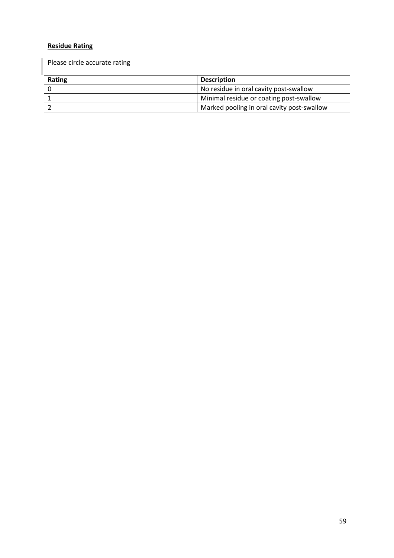### Residue Rating

Please circle accurate rating

| Rating | <b>Description</b>                         |
|--------|--------------------------------------------|
|        | No residue in oral cavity post-swallow     |
|        | Minimal residue or coating post-swallow    |
|        | Marked pooling in oral cavity post-swallow |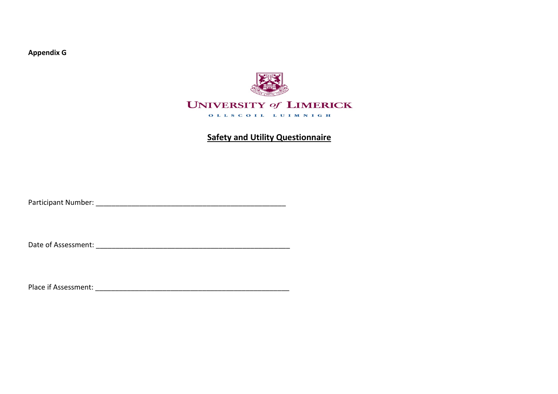Appendix G



# Safety and Utility Questionnaire

Participant Number: \_\_\_\_\_\_\_\_\_\_\_\_\_\_\_\_\_\_\_\_\_\_\_\_\_\_\_\_\_\_\_\_\_\_\_\_\_\_\_\_\_\_\_\_\_\_\_\_

Date of Assessment: \_\_\_\_\_\_\_\_\_\_\_\_\_\_\_\_\_\_\_\_\_\_\_\_\_\_\_\_\_\_\_\_\_\_\_\_\_\_\_\_\_\_\_\_\_\_\_\_\_

Place if Assessment: \_\_\_\_\_\_\_\_\_\_\_\_\_\_\_\_\_\_\_\_\_\_\_\_\_\_\_\_\_\_\_\_\_\_\_\_\_\_\_\_\_\_\_\_\_\_\_\_\_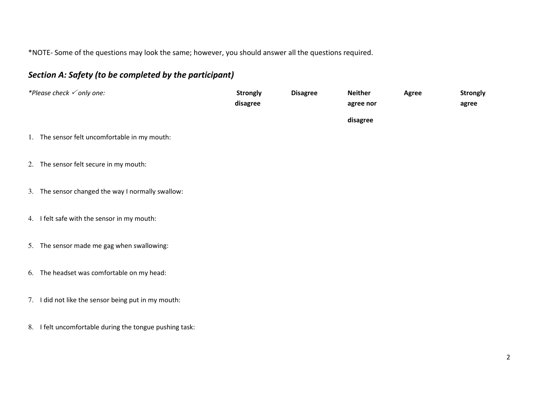\*NOTE- Some of the questions may look the same; however, you should answer all the questions required.

# Section A: Safety (to be completed by the participant)

| *Please check $\checkmark$ only one:                    | <b>Strongly</b><br>disagree | <b>Disagree</b> | <b>Neither</b><br>agree nor | <b>Agree</b> | <b>Strongly</b><br>agree |
|---------------------------------------------------------|-----------------------------|-----------------|-----------------------------|--------------|--------------------------|
| 1. The sensor felt uncomfortable in my mouth:           |                             |                 | disagree                    |              |                          |
| 2. The sensor felt secure in my mouth:                  |                             |                 |                             |              |                          |
| 3. The sensor changed the way I normally swallow:       |                             |                 |                             |              |                          |
| 4. I felt safe with the sensor in my mouth:             |                             |                 |                             |              |                          |
| 5. The sensor made me gag when swallowing:              |                             |                 |                             |              |                          |
| 6. The headset was comfortable on my head:              |                             |                 |                             |              |                          |
| 7. I did not like the sensor being put in my mouth:     |                             |                 |                             |              |                          |
| 8. I felt uncomfortable during the tongue pushing task: |                             |                 |                             |              |                          |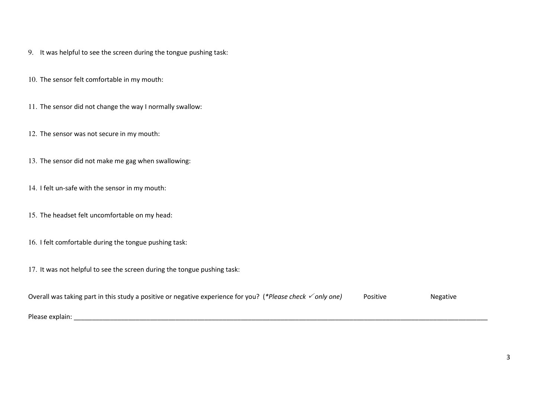- 9. It was helpful to see the screen during the tongue pushing task:
- 10. The sensor felt comfortable in my mouth:
- 11. The sensor did not change the way I normally swallow:
- 12. The sensor was not secure in my mouth:
- 13. The sensor did not make me gag when swallowing:
- 14. I felt un-safe with the sensor in my mouth:
- 15. The headset felt uncomfortable on my head:
- 16. I felt comfortable during the tongue pushing task:
- 17. It was not helpful to see the screen during the tongue pushing task:

| Overall was taking part in this study a positive or negative experience for you? (*Please check $\checkmark$ only one) | Positive | <b>Negative</b> |
|------------------------------------------------------------------------------------------------------------------------|----------|-----------------|
|                                                                                                                        |          |                 |
| Please explain:                                                                                                        |          |                 |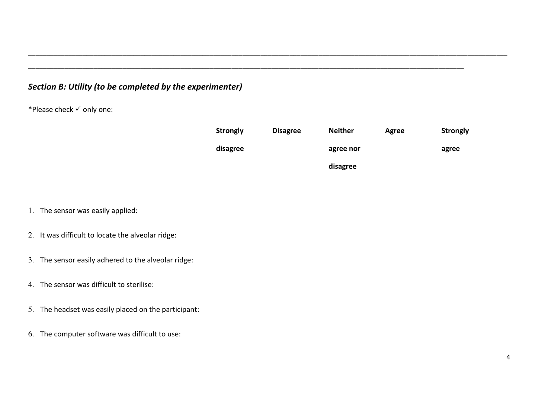| Section B: Utility (to be completed by the experimenter) |                                                      |                 |                 |                |              |                 |  |
|----------------------------------------------------------|------------------------------------------------------|-----------------|-----------------|----------------|--------------|-----------------|--|
| *Please check $\checkmark$ only one:                     |                                                      |                 |                 |                |              |                 |  |
|                                                          |                                                      | <b>Strongly</b> | <b>Disagree</b> | <b>Neither</b> | <b>Agree</b> | <b>Strongly</b> |  |
|                                                          |                                                      | disagree        |                 | agree nor      |              | agree           |  |
|                                                          |                                                      |                 |                 | disagree       |              |                 |  |
|                                                          |                                                      |                 |                 |                |              |                 |  |
|                                                          | 1. The sensor was easily applied:                    |                 |                 |                |              |                 |  |
|                                                          | 2. It was difficult to locate the alveolar ridge:    |                 |                 |                |              |                 |  |
|                                                          | 3. The sensor easily adhered to the alveolar ridge:  |                 |                 |                |              |                 |  |
|                                                          | 4. The sensor was difficult to sterilise:            |                 |                 |                |              |                 |  |
|                                                          | 5. The headset was easily placed on the participant: |                 |                 |                |              |                 |  |
|                                                          | 6. The computer software was difficult to use:       |                 |                 |                |              |                 |  |
|                                                          |                                                      |                 |                 |                |              |                 |  |

- 1. The sensor was easily applied:
- 2. It was difficult to locate the alveolar ridge:
- 3. The sensor easily adhered to the alveolar ridge:
- 4. The sensor was difficult to sterilise:
- 5. The headset was easily placed on the participant:
- 6. The computer software was difficult to use: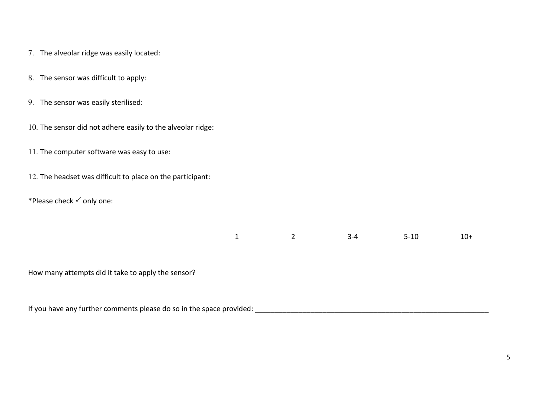- 7. The alveolar ridge was easily located:
- 8. The sensor was difficult to apply:
- 9. The sensor was easily sterilised:
- 10. The sensor did not adhere easily to the alveolar ridge:
- 11. The computer software was easy to use:
- 12. The headset was difficult to place on the participant:
- \*Please check  $\checkmark$  only one:

| $\overline{1}$ | $3-4$ | $5 - 10$ | $10+$ |
|----------------|-------|----------|-------|
|                |       |          |       |

How many attempts did it take to apply the sensor?

If you have any further comments please do so in the space provided: \_\_\_\_\_\_\_\_\_\_\_\_\_\_\_\_\_\_\_\_\_\_\_\_\_\_\_\_\_\_\_\_\_\_\_\_\_\_\_\_\_\_\_\_\_\_\_\_\_\_\_\_\_\_\_\_\_\_\_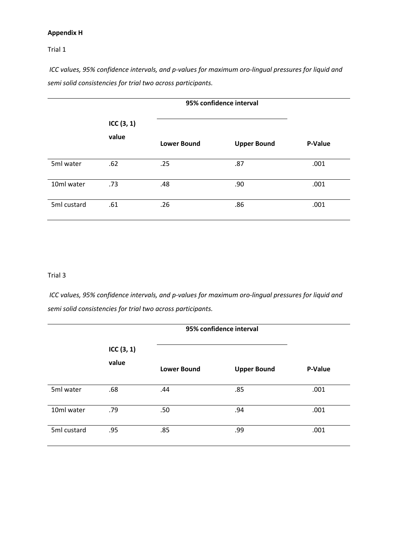### Appendix H

### Trial 1

ICC values, 95% confidence intervals, and p-values for maximum oro-lingual pressures for liquid and semi solid consistencies for trial two across participants.

|             | ICC(3, 1)<br>value | <b>Lower Bound</b> | <b>Upper Bound</b> | P-Value |
|-------------|--------------------|--------------------|--------------------|---------|
| 5ml water   | .62                | .25                | .87                | .001    |
| 10ml water  | .73                | .48                | .90                | .001    |
| 5ml custard | .61                | .26                | .86                | .001    |

#### Trial 3

ICC values, 95% confidence intervals, and p-values for maximum oro-lingual pressures for liquid and semi solid consistencies for trial two across participants.

|             |                       | 95% confidence interval |                    |         |
|-------------|-----------------------|-------------------------|--------------------|---------|
|             | ICC $(3, 1)$<br>value | <b>Lower Bound</b>      | <b>Upper Bound</b> | P-Value |
| 5ml water   | .68                   | .44                     | .85                | .001    |
| 10ml water  | .79                   | .50                     | .94                | .001    |
| 5ml custard | .95                   | .85                     | .99                | .001    |